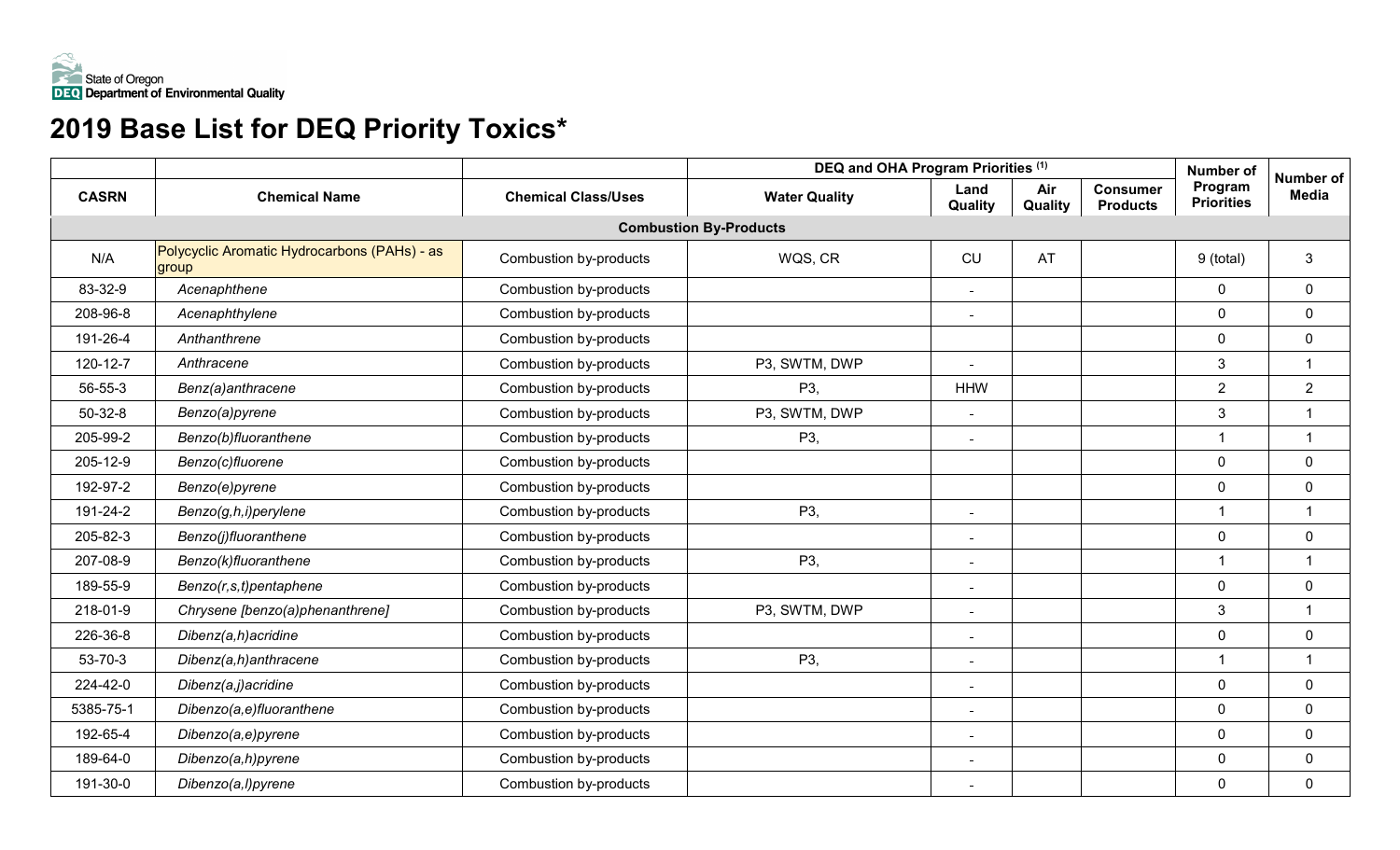

# **2019 Base List for DEQ Priority Toxics\***

|              |                                                       |                            | DEQ and OHA Program Priorities (1) |                          |                | Number of                          | Number of                    |                |
|--------------|-------------------------------------------------------|----------------------------|------------------------------------|--------------------------|----------------|------------------------------------|------------------------------|----------------|
| <b>CASRN</b> | <b>Chemical Name</b>                                  | <b>Chemical Class/Uses</b> | <b>Water Quality</b>               | Land<br>Quality          | Air<br>Quality | <b>Consumer</b><br><b>Products</b> | Program<br><b>Priorities</b> | <b>Media</b>   |
|              |                                                       |                            | <b>Combustion By-Products</b>      |                          |                |                                    |                              |                |
| N/A          | Polycyclic Aromatic Hydrocarbons (PAHs) - as<br>group | Combustion by-products     | WQS, CR                            | CU                       | AT             |                                    | 9 (total)                    | 3              |
| 83-32-9      | Acenaphthene                                          | Combustion by-products     |                                    | ÷.                       |                |                                    | $\mathbf 0$                  | $\mathbf 0$    |
| 208-96-8     | Acenaphthylene                                        | Combustion by-products     |                                    | $\blacksquare$           |                |                                    | $\mathbf 0$                  | 0              |
| 191-26-4     | Anthanthrene                                          | Combustion by-products     |                                    |                          |                |                                    | $\mathbf 0$                  | $\mathbf 0$    |
| 120-12-7     | Anthracene                                            | Combustion by-products     | P3, SWTM, DWP                      | $\blacksquare$           |                |                                    | 3                            | $\overline{1}$ |
| 56-55-3      | Benz(a)anthracene                                     | Combustion by-products     | P3,                                | <b>HHW</b>               |                |                                    | $\overline{2}$               | $\overline{2}$ |
| $50-32-8$    | Benzo(a)pyrene                                        | Combustion by-products     | P3, SWTM, DWP                      | ÷.                       |                |                                    | 3                            | $\mathbf{1}$   |
| 205-99-2     | Benzo(b)fluoranthene                                  | Combustion by-products     | P3,                                | $\blacksquare$           |                |                                    | $\overline{1}$               | $\overline{1}$ |
| 205-12-9     | Benzo(c)fluorene                                      | Combustion by-products     |                                    |                          |                |                                    | $\mathbf 0$                  | $\mathbf 0$    |
| 192-97-2     | Benzo(e)pyrene                                        | Combustion by-products     |                                    |                          |                |                                    | $\mathbf 0$                  | $\mathbf 0$    |
| 191-24-2     | Benzo(g,h,i)perylene                                  | Combustion by-products     | P3,                                | ÷.                       |                |                                    | $\overline{\mathbf{1}}$      | $\overline{1}$ |
| 205-82-3     | Benzo(j)fluoranthene                                  | Combustion by-products     |                                    | ÷.                       |                |                                    | $\mathbf 0$                  | $\mathbf 0$    |
| 207-08-9     | Benzo(k)fluoranthene                                  | Combustion by-products     | P3,                                | $\sim$                   |                |                                    | $\overline{\mathbf{1}}$      | $\overline{1}$ |
| 189-55-9     | Benzo(r,s,t)pentaphene                                | Combustion by-products     |                                    | $\overline{\phantom{0}}$ |                |                                    | $\mathbf 0$                  | $\mathbf 0$    |
| 218-01-9     | Chrysene [benzo(a)phenanthrene]                       | Combustion by-products     | P3, SWTM, DWP                      | $\blacksquare$           |                |                                    | 3                            | $\overline{1}$ |
| 226-36-8     | Dibenz(a,h)acridine                                   | Combustion by-products     |                                    | $\overline{a}$           |                |                                    | $\mathbf 0$                  | $\mathbf 0$    |
| 53-70-3      | Dibenz(a,h)anthracene                                 | Combustion by-products     | P3,                                | ÷.                       |                |                                    | $\overline{1}$               | $\overline{1}$ |
| 224-42-0     | Dibenz(a,j)acridine                                   | Combustion by-products     |                                    | ÷                        |                |                                    | $\mathbf 0$                  | $\mathbf 0$    |
| 5385-75-1    | Dibenzo(a,e)fluoranthene                              | Combustion by-products     |                                    | ÷.                       |                |                                    | $\mathbf 0$                  | $\mathbf 0$    |
| 192-65-4     | Dibenzo(a,e)pyrene                                    | Combustion by-products     |                                    | $\overline{a}$           |                |                                    | $\overline{0}$               | 0              |
| 189-64-0     | Dibenzo(a,h)pyrene                                    | Combustion by-products     |                                    | $\overline{a}$           |                |                                    | $\mathbf 0$                  | $\mathbf 0$    |
| 191-30-0     | Dibenzo(a,l)pyrene                                    | Combustion by-products     |                                    | $\blacksquare$           |                |                                    | $\mathbf 0$                  | $\overline{0}$ |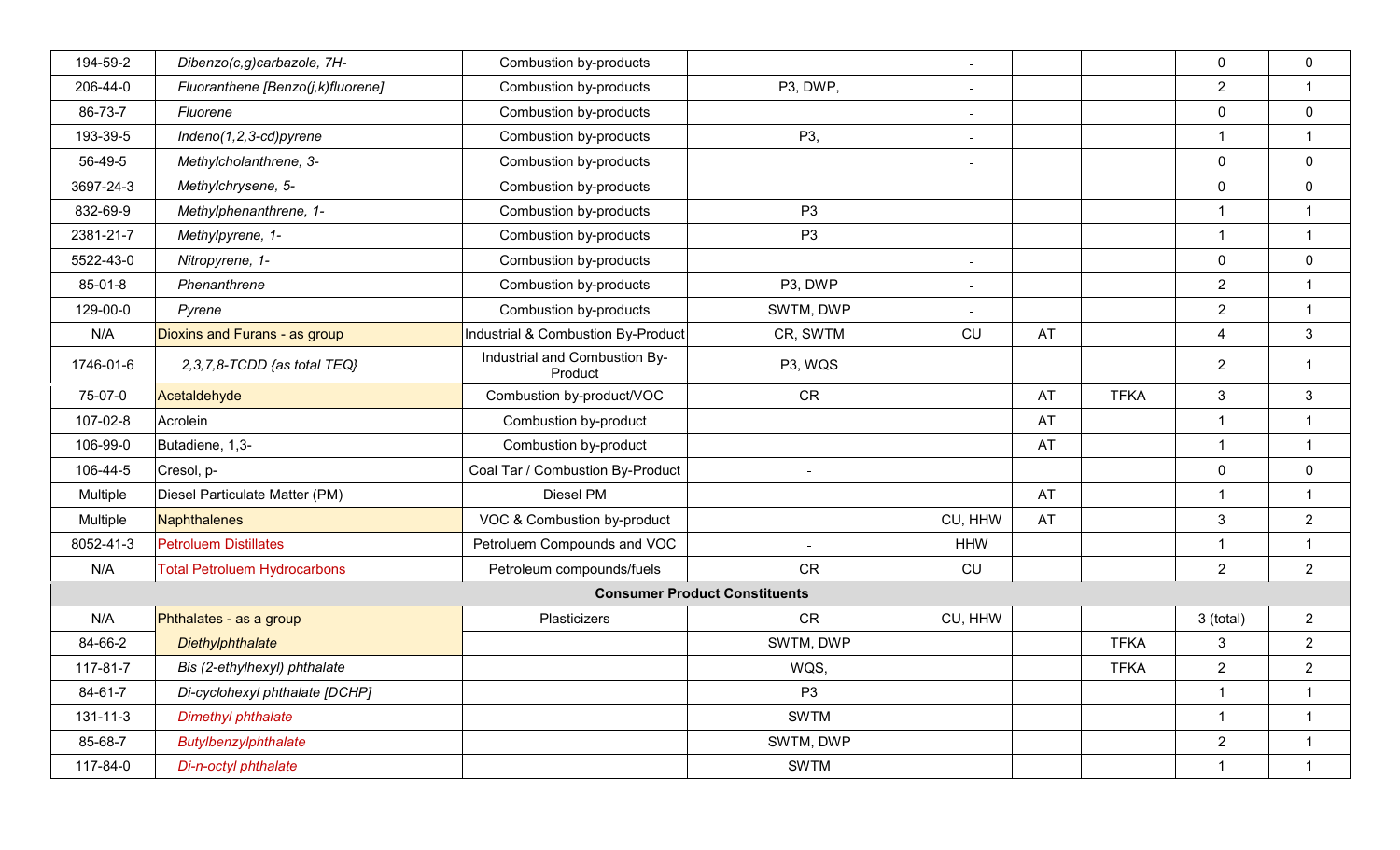| 194-59-2       | Dibenzo(c,g)carbazole, 7H-          | Combustion by-products                   |                | $\sim$         |    |             | $\mathbf 0$      | $\mathbf 0$    |
|----------------|-------------------------------------|------------------------------------------|----------------|----------------|----|-------------|------------------|----------------|
| 206-44-0       | Fluoranthene [Benzo(j,k)fluorene]   | Combustion by-products                   | P3, DWP,       | $\sim$         |    |             | $\overline{2}$   | $\mathbf 1$    |
| 86-73-7        | Fluorene                            | Combustion by-products                   |                | $\sim$         |    |             | $\mathbf 0$      | $\mathbf 0$    |
| 193-39-5       | Indeno $(1,2,3$ -cd)pyrene          | Combustion by-products                   | P3,            |                |    |             | 1                | $\mathbf{1}$   |
| 56-49-5        | Methylcholanthrene, 3-              | Combustion by-products                   |                | $\sim$         |    |             | $\mathbf 0$      | $\mathbf 0$    |
| 3697-24-3      | Methylchrysene, 5-                  | Combustion by-products                   |                | $\sim$         |    |             | $\mathbf 0$      | $\mathbf 0$    |
| 832-69-9       | Methylphenanthrene, 1-              | Combustion by-products                   | P <sub>3</sub> |                |    |             |                  | 1              |
| 2381-21-7      | Methylpyrene, 1-                    | Combustion by-products                   | P <sub>3</sub> |                |    |             | $\mathbf{1}$     | $\mathbf{1}$   |
| 5522-43-0      | Nitropyrene, 1-                     | Combustion by-products                   |                | $\equiv$       |    |             | $\mathbf 0$      | $\mathbf 0$    |
| 85-01-8        | Phenanthrene                        | Combustion by-products                   | P3, DWP        | $\sim$         |    |             | $\overline{2}$   | $\mathbf 1$    |
| 129-00-0       | Pyrene                              | Combustion by-products                   | SWTM, DWP      | $\blacksquare$ |    |             | $\overline{2}$   | $\overline{1}$ |
| N/A            | Dioxins and Furans - as group       | Industrial & Combustion By-Product       | CR, SWTM       | CU             | AT |             | $\overline{4}$   | 3              |
| 1746-01-6      | 2,3,7,8-TCDD {as total TEQ}         | Industrial and Combustion By-<br>Product | P3, WQS        |                |    |             | $\overline{2}$   | $\mathbf 1$    |
| 75-07-0        | Acetaldehyde                        | Combustion by-product/VOC                | <b>CR</b>      |                | AT | <b>TFKA</b> | 3                | 3              |
| 107-02-8       | Acrolein                            | Combustion by-product                    |                |                | AT |             | $\mathbf 1$      | $\mathbf 1$    |
| 106-99-0       | Butadiene, 1,3-                     | Combustion by-product                    |                |                | AT |             | $\mathbf 1$      | $\mathbf{1}$   |
| 106-44-5       | Cresol, p-                          | Coal Tar / Combustion By-Product         | $\sim$         |                |    |             | $\mathbf 0$      | $\mathbf 0$    |
| Multiple       | Diesel Particulate Matter (PM)      | Diesel PM                                |                |                | AT |             | $\mathbf 1$      | $\mathbf 1$    |
| Multiple       | Naphthalenes                        | VOC & Combustion by-product              |                | CU, HHW        | AT |             | $\mathbf{3}$     | $\overline{2}$ |
| 8052-41-3      | <b>Petroluem Distillates</b>        | Petroluem Compounds and VOC              |                | <b>HHW</b>     |    |             |                  | 1              |
| N/A            | <b>Total Petroluem Hydrocarbons</b> | Petroleum compounds/fuels                | CR             | CU             |    |             | $\overline{2}$   | $\overline{2}$ |
|                |                                     | <b>Consumer Product Constituents</b>     |                |                |    |             |                  |                |
| N/A            | Phthalates - as a group             | Plasticizers                             | <b>CR</b>      | CU, HHW        |    |             | 3 (total)        | $\overline{2}$ |
| 84-66-2        | Diethylphthalate                    |                                          | SWTM, DWP      |                |    | <b>TFKA</b> | 3                | $\overline{2}$ |
| 117-81-7       | Bis (2-ethylhexyl) phthalate        |                                          | WQS,           |                |    | <b>TFKA</b> | $\boldsymbol{2}$ | $\overline{2}$ |
| 84-61-7        | Di-cyclohexyl phthalate [DCHP]      |                                          | P <sub>3</sub> |                |    |             | $\mathbf{1}$     | $\overline{1}$ |
| $131 - 11 - 3$ | <b>Dimethyl phthalate</b>           |                                          | <b>SWTM</b>    |                |    |             | $\mathbf{1}$     | $\mathbf{1}$   |
| 85-68-7        | Butylbenzylphthalate                |                                          | SWTM, DWP      |                |    |             | $\overline{2}$   | $\mathbf{1}$   |
| 117-84-0       | Di-n-octyl phthalate                |                                          | <b>SWTM</b>    |                |    |             | $\mathbf{1}$     | $\mathbf{1}$   |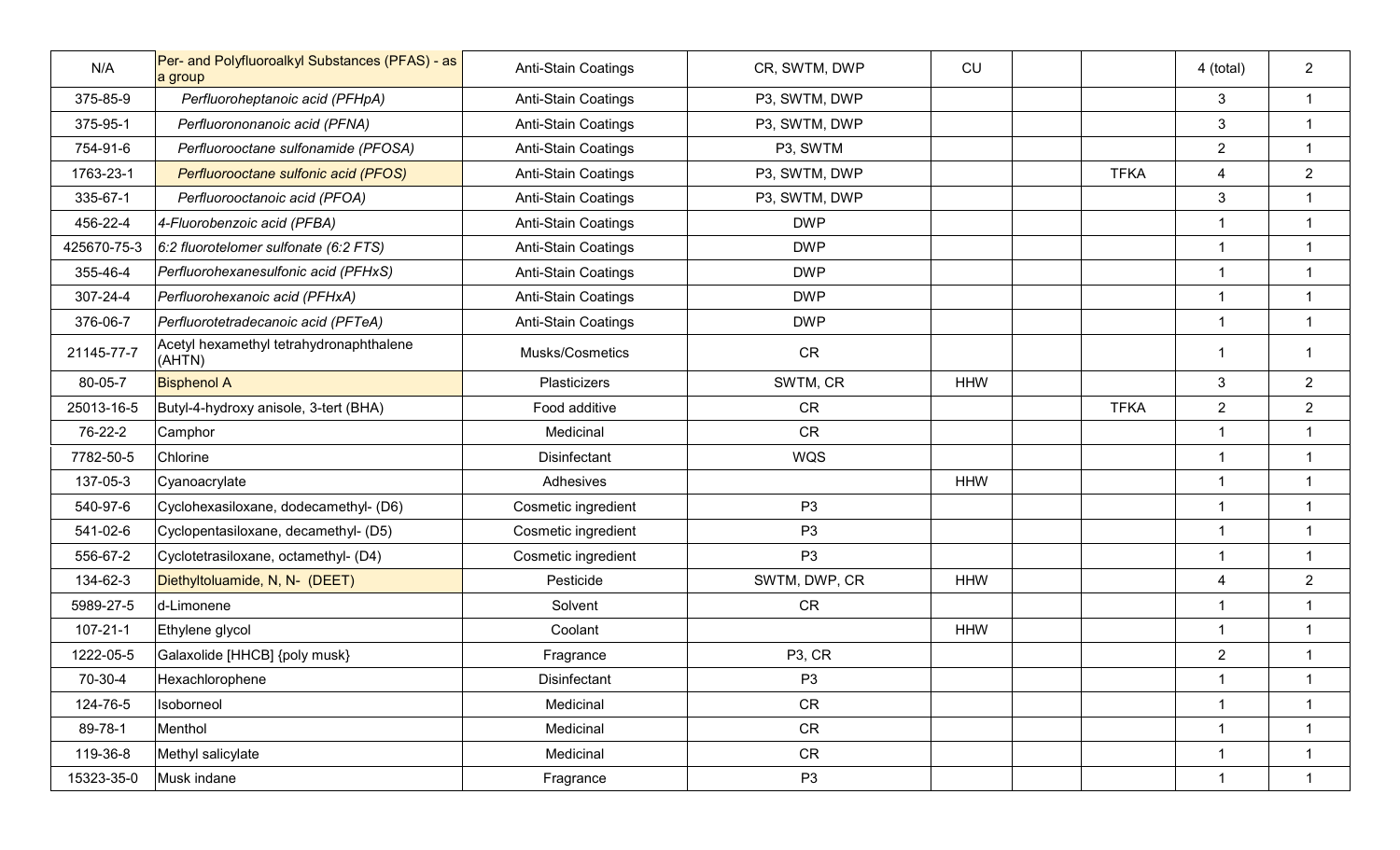| N/A            | Per- and Polyfluoroalkyl Substances (PFAS) - as<br>a group | Anti-Stain Coatings | CR, SWTM, DWP       | CU         |             | 4 (total)               | $\overline{2}$          |
|----------------|------------------------------------------------------------|---------------------|---------------------|------------|-------------|-------------------------|-------------------------|
| 375-85-9       | Perfluoroheptanoic acid (PFHpA)                            | Anti-Stain Coatings | P3, SWTM, DWP       |            |             | $\mathbf{3}$            | $\mathbf{1}$            |
| 375-95-1       | Perfluorononanoic acid (PFNA)                              | Anti-Stain Coatings | P3, SWTM, DWP       |            |             | $\mathbf{3}$            | $\mathbf{1}$            |
| 754-91-6       | Perfluorooctane sulfonamide (PFOSA)                        | Anti-Stain Coatings | P3, SWTM            |            |             | $\overline{2}$          | $\mathbf{1}$            |
| 1763-23-1      | Perfluorooctane sulfonic acid (PFOS)                       | Anti-Stain Coatings | P3, SWTM, DWP       |            | <b>TFKA</b> | $\overline{4}$          | $\overline{2}$          |
| 335-67-1       | Perfluorooctanoic acid (PFOA)                              | Anti-Stain Coatings | P3, SWTM, DWP       |            |             | $\mathbf{3}$            | $\mathbf{1}$            |
| 456-22-4       | 4-Fluorobenzoic acid (PFBA)                                | Anti-Stain Coatings | <b>DWP</b>          |            |             | $\mathbf{1}$            | $\mathbf{1}$            |
| 425670-75-3    | 6:2 fluorotelomer sulfonate (6:2 FTS)                      | Anti-Stain Coatings | <b>DWP</b>          |            |             | $\mathbf{1}$            | $\mathbf{1}$            |
| 355-46-4       | Perfluorohexanesulfonic acid (PFHxS)                       | Anti-Stain Coatings | <b>DWP</b>          |            |             | $\overline{1}$          | $\overline{1}$          |
| 307-24-4       | Perfluorohexanoic acid (PFHxA)                             | Anti-Stain Coatings | <b>DWP</b>          |            |             | $\overline{1}$          | $\overline{1}$          |
| 376-06-7       | Perfluorotetradecanoic acid (PFTeA)                        | Anti-Stain Coatings | <b>DWP</b>          |            |             | $\overline{1}$          | $\overline{1}$          |
| 21145-77-7     | Acetyl hexamethyl tetrahydronaphthalene<br>(AHTN)          | Musks/Cosmetics     | <b>CR</b>           |            |             | $\overline{\mathbf{1}}$ | $\overline{\mathbf{1}}$ |
| 80-05-7        | <b>Bisphenol A</b>                                         | Plasticizers        | SWTM, CR            | <b>HHW</b> |             | 3                       | $\overline{2}$          |
| 25013-16-5     | Butyl-4-hydroxy anisole, 3-tert (BHA)                      | Food additive       | <b>CR</b>           |            | <b>TFKA</b> | $\overline{2}$          | $\overline{2}$          |
| 76-22-2        | Camphor                                                    | Medicinal           | <b>CR</b>           |            |             | $\overline{1}$          | $\mathbf{1}$            |
| 7782-50-5      | Chlorine                                                   | Disinfectant        | WQS                 |            |             | $\overline{1}$          | $\mathbf{1}$            |
| 137-05-3       | Cyanoacrylate                                              | Adhesives           |                     | <b>HHW</b> |             | $\mathbf{1}$            | $\mathbf{1}$            |
| 540-97-6       | Cyclohexasiloxane, dodecamethyl- (D6)                      | Cosmetic ingredient | P <sub>3</sub>      |            |             | $\mathbf{1}$            | $\overline{1}$          |
| 541-02-6       | Cyclopentasiloxane, decamethyl- (D5)                       | Cosmetic ingredient | P <sub>3</sub>      |            |             | $\mathbf{1}$            | $\mathbf{1}$            |
| 556-67-2       | Cyclotetrasiloxane, octamethyl- (D4)                       | Cosmetic ingredient | P <sub>3</sub>      |            |             | $\mathbf{1}$            | $\mathbf{1}$            |
| 134-62-3       | Diethyltoluamide, N, N- (DEET)                             | Pesticide           | SWTM, DWP, CR       | <b>HHW</b> |             | $\overline{\mathbf{4}}$ | $\overline{2}$          |
| 5989-27-5      | d-Limonene                                                 | Solvent             | <b>CR</b>           |            |             | $\overline{1}$          | $\mathbf{1}$            |
| $107 - 21 - 1$ | Ethylene glycol                                            | Coolant             |                     | <b>HHW</b> |             | $\overline{1}$          | $\overline{1}$          |
| 1222-05-5      | Galaxolide [HHCB] {poly musk}                              | Fragrance           | P <sub>3</sub> , CR |            |             | $\overline{2}$          |                         |
| 70-30-4        | Hexachlorophene                                            | Disinfectant        | P <sub>3</sub>      |            |             | $\mathbf{1}$            | $\mathbf{1}$            |
| 124-76-5       | Isoborneol                                                 | Medicinal           | CR                  |            |             | $\mathbf{1}$            | $\mathbf{1}$            |
| 89-78-1        | Menthol                                                    | Medicinal           | CR                  |            |             | $\mathbf{1}$            | $\mathbf{1}$            |
| 119-36-8       | Methyl salicylate                                          | Medicinal           | CR                  |            |             | $\mathbf{1}$            | $\mathbf{1}$            |
| 15323-35-0     | Musk indane                                                | Fragrance           | P <sub>3</sub>      |            |             | $\overline{1}$          | $\mathbf{1}$            |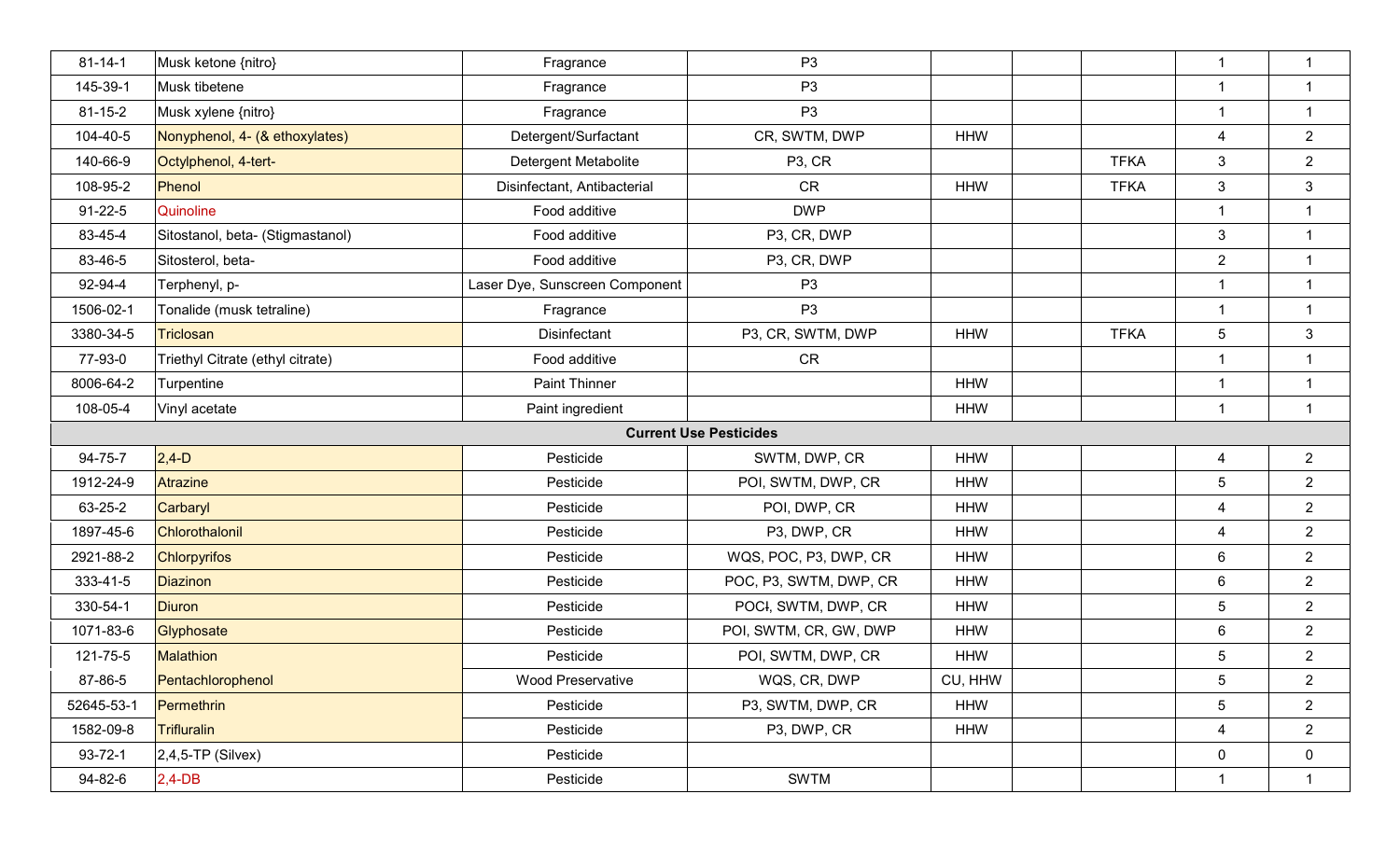| $81 - 14 - 1$ | Musk ketone {nitro}              | Fragrance                      | P <sub>3</sub>                |            |             | $\mathbf{1}$            | $\mathbf{1}$   |
|---------------|----------------------------------|--------------------------------|-------------------------------|------------|-------------|-------------------------|----------------|
| 145-39-1      | Musk tibetene                    | Fragrance                      | P <sub>3</sub>                |            |             | $\overline{\mathbf{1}}$ | $\mathbf{1}$   |
| $81 - 15 - 2$ | Musk xylene {nitro}              | Fragrance                      | P <sub>3</sub>                |            |             | $\mathbf 1$             | $\mathbf{1}$   |
| 104-40-5      | Nonyphenol, 4- (& ethoxylates)   | Detergent/Surfactant           | CR, SWTM, DWP                 | <b>HHW</b> |             | $\overline{4}$          | $\overline{2}$ |
| 140-66-9      | Octylphenol, 4-tert-             | <b>Detergent Metabolite</b>    | P <sub>3</sub> , CR           |            | <b>TFKA</b> | $\mathbf{3}$            | $\overline{2}$ |
| 108-95-2      | Phenol                           | Disinfectant, Antibacterial    | <b>CR</b>                     | <b>HHW</b> | <b>TFKA</b> | $\mathbf{3}$            | $\mathbf{3}$   |
| $91 - 22 - 5$ | Quinoline                        | Food additive                  | <b>DWP</b>                    |            |             | $\overline{1}$          | $\mathbf 1$    |
| 83-45-4       | Sitostanol, beta- (Stigmastanol) | Food additive                  | P3, CR, DWP                   |            |             | $\mathbf{3}$            | $\mathbf{1}$   |
| 83-46-5       | Sitosterol, beta-                | Food additive                  | P3, CR, DWP                   |            |             | $\overline{2}$          | $\overline{1}$ |
| 92-94-4       | Terphenyl, p-                    | Laser Dye, Sunscreen Component | P <sub>3</sub>                |            |             | $\mathbf{1}$            | $\mathbf{1}$   |
| 1506-02-1     | Tonalide (musk tetraline)        | Fragrance                      | P <sub>3</sub>                |            |             | $\overline{1}$          | $\mathbf{1}$   |
| 3380-34-5     | Triclosan                        | Disinfectant                   | P3, CR, SWTM, DWP             | <b>HHW</b> | <b>TFKA</b> | $\overline{5}$          | 3              |
| 77-93-0       | Triethyl Citrate (ethyl citrate) | Food additive                  | <b>CR</b>                     |            |             | $\overline{\mathbf{1}}$ | $\overline{1}$ |
| 8006-64-2     | Turpentine                       | <b>Paint Thinner</b>           |                               | <b>HHW</b> |             | $\overline{1}$          | $\mathbf{1}$   |
| 108-05-4      | Vinyl acetate                    | Paint ingredient               |                               | <b>HHW</b> |             | $\mathbf{1}$            | $\mathbf{1}$   |
|               |                                  |                                |                               |            |             |                         |                |
|               |                                  |                                | <b>Current Use Pesticides</b> |            |             |                         |                |
| 94-75-7       | $2,4-D$                          | Pesticide                      | SWTM, DWP, CR                 | <b>HHW</b> |             | $\overline{4}$          | $\overline{2}$ |
| 1912-24-9     | <b>Atrazine</b>                  | Pesticide                      | POI, SWTM, DWP, CR            | <b>HHW</b> |             | $5\phantom{.0}$         | $\overline{2}$ |
| 63-25-2       | Carbaryl                         | Pesticide                      | POI, DWP, CR                  | <b>HHW</b> |             | $\overline{4}$          | $\overline{2}$ |
| 1897-45-6     | Chlorothalonil                   | Pesticide                      | P3, DWP, CR                   | <b>HHW</b> |             | $\overline{4}$          | $\overline{2}$ |
| 2921-88-2     | <b>Chlorpyrifos</b>              | Pesticide                      | WQS, POC, P3, DWP, CR         | <b>HHW</b> |             | $6\phantom{.}6$         | $\overline{2}$ |
| 333-41-5      | <b>Diazinon</b>                  | Pesticide                      | POC, P3, SWTM, DWP, CR        | <b>HHW</b> |             | $6\phantom{.}6$         | $\overline{2}$ |
| 330-54-1      | <b>Diuron</b>                    | Pesticide                      | POCI, SWTM, DWP, CR           | <b>HHW</b> |             | $\overline{5}$          | $\overline{2}$ |
| 1071-83-6     | Glyphosate                       | Pesticide                      | POI, SWTM, CR, GW, DWP        | <b>HHW</b> |             | 6                       | $\overline{2}$ |
| 121-75-5      | Malathion                        | Pesticide                      | POI, SWTM, DWP, CR            | <b>HHW</b> |             | $\sqrt{5}$              | $\overline{2}$ |
| 87-86-5       | Pentachlorophenol                | <b>Wood Preservative</b>       | WQS, CR, DWP                  | CU, HHW    |             | $\overline{5}$          | $\overline{2}$ |
| 52645-53-1    | Permethrin                       | Pesticide                      | P3, SWTM, DWP, CR             | <b>HHW</b> |             | 5                       | $\overline{2}$ |
| 1582-09-8     | Trifluralin                      | Pesticide                      | P3, DWP, CR                   | <b>HHW</b> |             | $\overline{4}$          | $\overline{2}$ |
| $93 - 72 - 1$ | $2,4,5$ -TP (Silvex)             | Pesticide                      |                               |            |             | $\pmb{0}$               | $\mathbf 0$    |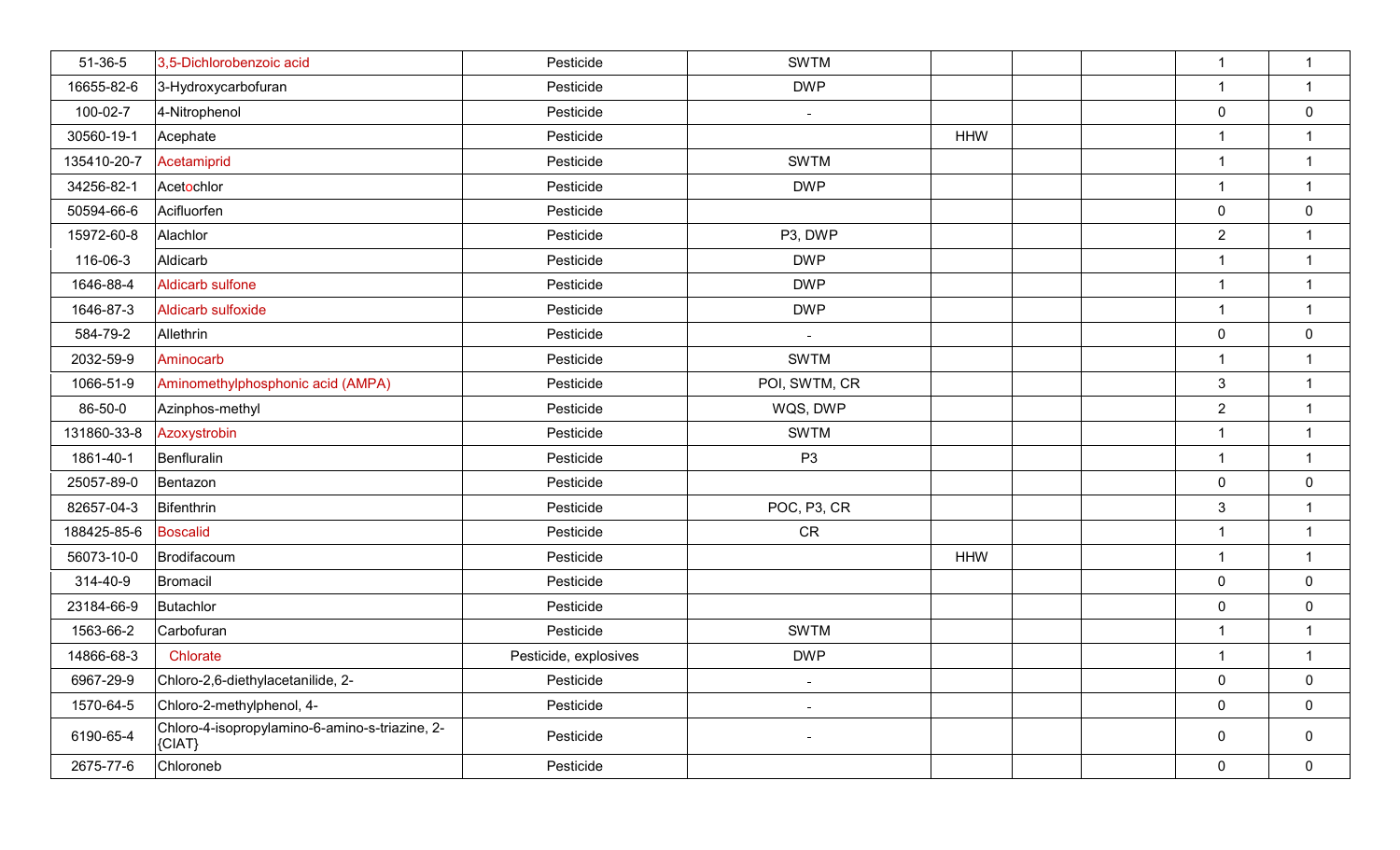| 51-36-5     | 3,5-Dichlorobenzoic acid                                   | Pesticide             | <b>SWTM</b>    |            | $\overline{1}$          | $\overline{1}$   |
|-------------|------------------------------------------------------------|-----------------------|----------------|------------|-------------------------|------------------|
| 16655-82-6  | 3-Hydroxycarbofuran                                        | Pesticide             | <b>DWP</b>     |            | -1                      | $\mathbf{1}$     |
| 100-02-7    | 4-Nitrophenol                                              | Pesticide             | $\sim$         |            | $\mathbf 0$             | 0                |
| 30560-19-1  | Acephate                                                   | Pesticide             |                | <b>HHW</b> | $\overline{\mathbf{1}}$ | $\mathbf{1}$     |
| 135410-20-7 | Acetamiprid                                                | Pesticide             | <b>SWTM</b>    |            | $\overline{1}$          | $\mathbf{1}$     |
| 34256-82-1  | Acetochlor                                                 | Pesticide             | <b>DWP</b>     |            | $\overline{1}$          | $\mathbf{1}$     |
| 50594-66-6  | Acifluorfen                                                | Pesticide             |                |            | $\pmb{0}$               | $\pmb{0}$        |
| 15972-60-8  | Alachlor                                                   | Pesticide             | P3, DWP        |            | $\overline{2}$          | $\mathbf{1}$     |
| 116-06-3    | Aldicarb                                                   | Pesticide             | <b>DWP</b>     |            | $\overline{1}$          | $\overline{1}$   |
| 1646-88-4   | <b>Aldicarb sulfone</b>                                    | Pesticide             | <b>DWP</b>     |            | $\overline{1}$          | $\overline{1}$   |
| 1646-87-3   | Aldicarb sulfoxide                                         | Pesticide             | <b>DWP</b>     |            | $\mathbf{1}$            | $\overline{1}$   |
| 584-79-2    | Allethrin                                                  | Pesticide             | $\sim$         |            | $\mathbf 0$             | $\mathbf 0$      |
| 2032-59-9   | Aminocarb                                                  | Pesticide             | <b>SWTM</b>    |            | $\overline{1}$          | $\overline{1}$   |
| 1066-51-9   | Aminomethylphosphonic acid (AMPA)                          | Pesticide             | POI, SWTM, CR  |            | $\mathbf{3}$            | $\overline{1}$   |
| 86-50-0     | Azinphos-methyl                                            | Pesticide             | WQS, DWP       |            | $\overline{2}$          | $\overline{1}$   |
| 131860-33-8 | Azoxystrobin                                               | Pesticide             | <b>SWTM</b>    |            | $\overline{1}$          | $\overline{1}$   |
| 1861-40-1   | Benfluralin                                                | Pesticide             | P <sub>3</sub> |            | $\overline{1}$          | $\overline{1}$   |
| 25057-89-0  | Bentazon                                                   | Pesticide             |                |            | $\mathbf 0$             | $\pmb{0}$        |
| 82657-04-3  | Bifenthrin                                                 | Pesticide             | POC, P3, CR    |            | $\sqrt{3}$              | $\overline{1}$   |
| 188425-85-6 | <b>Boscalid</b>                                            | Pesticide             | ${\sf CR}$     |            | $\overline{1}$          | $\overline{1}$   |
| 56073-10-0  | Brodifacoum                                                | Pesticide             |                | <b>HHW</b> | $\overline{1}$          | $\mathbf{1}$     |
| 314-40-9    | Bromacil                                                   | Pesticide             |                |            | $\pmb{0}$               | $\mathbf 0$      |
| 23184-66-9  | Butachlor                                                  | Pesticide             |                |            | $\overline{0}$          | $\boldsymbol{0}$ |
| 1563-66-2   | Carbofuran                                                 | Pesticide             | <b>SWTM</b>    |            | $\overline{1}$          | $\mathbf{1}$     |
| 14866-68-3  | Chlorate                                                   | Pesticide, explosives | <b>DWP</b>     |            | $\overline{1}$          | $\mathbf{1}$     |
| 6967-29-9   | Chloro-2,6-diethylacetanilide, 2-                          | Pesticide             | $\sim$         |            | $\mathbf 0$             | $\mathbf 0$      |
| 1570-64-5   | Chloro-2-methylphenol, 4-                                  | Pesticide             | $\sim$         |            | $\mathbf 0$             | $\mathbf 0$      |
| 6190-65-4   | Chloro-4-isopropylamino-6-amino-s-triazine, 2-<br>${CIAT}$ | Pesticide             |                |            | 0                       | $\mathbf 0$      |
| 2675-77-6   | Chloroneb                                                  | Pesticide             |                |            | $\mathbf 0$             | $\overline{0}$   |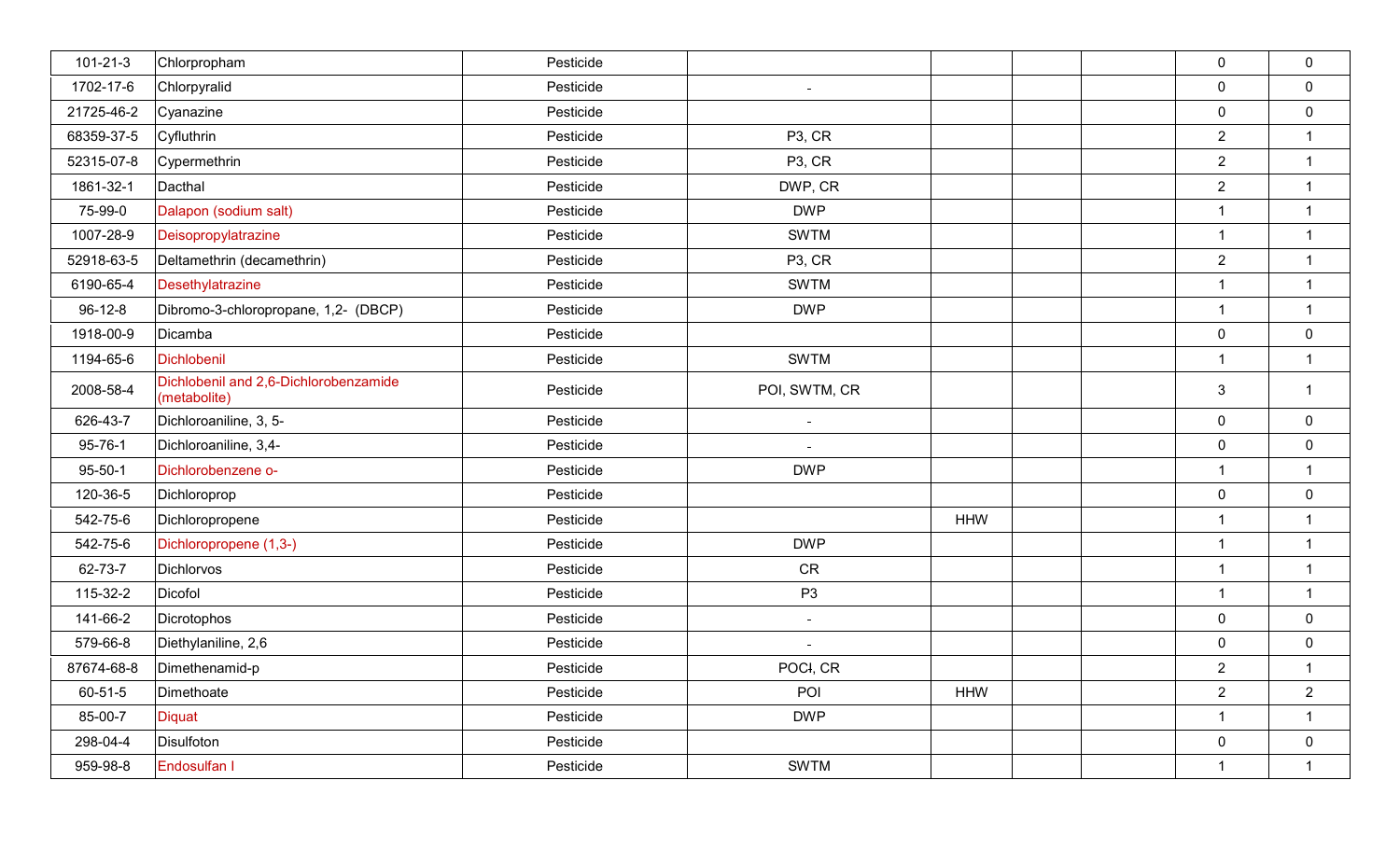| $101 - 21 - 3$ | Chlorpropham                                          | Pesticide |                     |            | $\mathbf 0$    | $\mathbf 0$      |
|----------------|-------------------------------------------------------|-----------|---------------------|------------|----------------|------------------|
| 1702-17-6      | Chlorpyralid                                          | Pesticide |                     |            | $\mathbf 0$    | $\mathbf 0$      |
| 21725-46-2     | Cyanazine                                             | Pesticide |                     |            | $\mathbf 0$    | $\mathbf 0$      |
| 68359-37-5     | Cyfluthrin                                            | Pesticide | P <sub>3</sub> , CR |            | $\overline{2}$ | $\mathbf{1}$     |
| 52315-07-8     | Cypermethrin                                          | Pesticide | P <sub>3</sub> , CR |            | $\overline{2}$ | $\mathbf{1}$     |
| 1861-32-1      | Dacthal                                               | Pesticide | DWP, CR             |            | $\overline{2}$ | $\mathbf{1}$     |
| 75-99-0        | Dalapon (sodium salt)                                 | Pesticide | <b>DWP</b>          |            | 1              | $\mathbf{1}$     |
| 1007-28-9      | Deisopropylatrazine                                   | Pesticide | <b>SWTM</b>         |            | $\overline{1}$ | $\mathbf{1}$     |
| 52918-63-5     | Deltamethrin (decamethrin)                            | Pesticide | P <sub>3</sub> , CR |            | $\overline{2}$ | $\mathbf 1$      |
| 6190-65-4      | Desethylatrazine                                      | Pesticide | <b>SWTM</b>         |            | $\overline{1}$ | $\mathbf{1}$     |
| $96 - 12 - 8$  | Dibromo-3-chloropropane, 1,2- (DBCP)                  | Pesticide | <b>DWP</b>          |            | $\overline{1}$ | $\mathbf{1}$     |
| 1918-00-9      | Dicamba                                               | Pesticide |                     |            | $\mathbf 0$    | $\boldsymbol{0}$ |
| 1194-65-6      | Dichlobenil                                           | Pesticide | <b>SWTM</b>         |            | $\overline{1}$ | $\mathbf{1}$     |
| 2008-58-4      | Dichlobenil and 2,6-Dichlorobenzamide<br>(metabolite) | Pesticide | POI, SWTM, CR       |            | $\mathbf{3}$   | $\mathbf{1}$     |
| 626-43-7       | Dichloroaniline, 3, 5-                                | Pesticide | $\sim$              |            | $\mathbf 0$    | $\overline{0}$   |
| $95 - 76 - 1$  | Dichloroaniline, 3,4-                                 | Pesticide |                     |            | $\mathbf 0$    | $\pmb{0}$        |
| $95 - 50 - 1$  | Dichlorobenzene o-                                    | Pesticide | <b>DWP</b>          |            | $\mathbf 1$    | $\mathbf{1}$     |
| 120-36-5       | Dichloroprop                                          | Pesticide |                     |            | $\mathbf 0$    | $\mathbf 0$      |
| 542-75-6       | Dichloropropene                                       | Pesticide |                     | <b>HHW</b> | $\mathbf 1$    | $\mathbf{1}$     |
| 542-75-6       | Dichloropropene (1,3-)                                | Pesticide | <b>DWP</b>          |            |                | $\mathbf 1$      |
| 62-73-7        | <b>Dichlorvos</b>                                     | Pesticide | <b>CR</b>           |            | $\mathbf{1}$   | $\mathbf{1}$     |
| 115-32-2       | Dicofol                                               | Pesticide | P <sub>3</sub>      |            | $\mathbf 1$    | $\mathbf{1}$     |
| 141-66-2       | Dicrotophos                                           | Pesticide | $\sim$              |            | $\mathbf 0$    | $\mathbf 0$      |
| 579-66-8       | Diethylaniline, 2,6                                   | Pesticide |                     |            | $\mathbf 0$    | $\pmb{0}$        |
| 87674-68-8     | Dimethenamid-p                                        | Pesticide | POCI, CR            |            | $\overline{2}$ | $\mathbf 1$      |
| 60-51-5        | Dimethoate                                            | Pesticide | POI                 | <b>HHW</b> | $\overline{2}$ | $\overline{2}$   |
| 85-00-7        | <b>Diquat</b>                                         | Pesticide | <b>DWP</b>          |            | $\mathbf{1}$   | $\mathbf{1}$     |
| 298-04-4       | Disulfoton                                            | Pesticide |                     |            | $\mathbf 0$    | $\overline{0}$   |
| 959-98-8       | Endosulfan I                                          | Pesticide | <b>SWTM</b>         |            | $\mathbf{1}$   | $\mathbf{1}$     |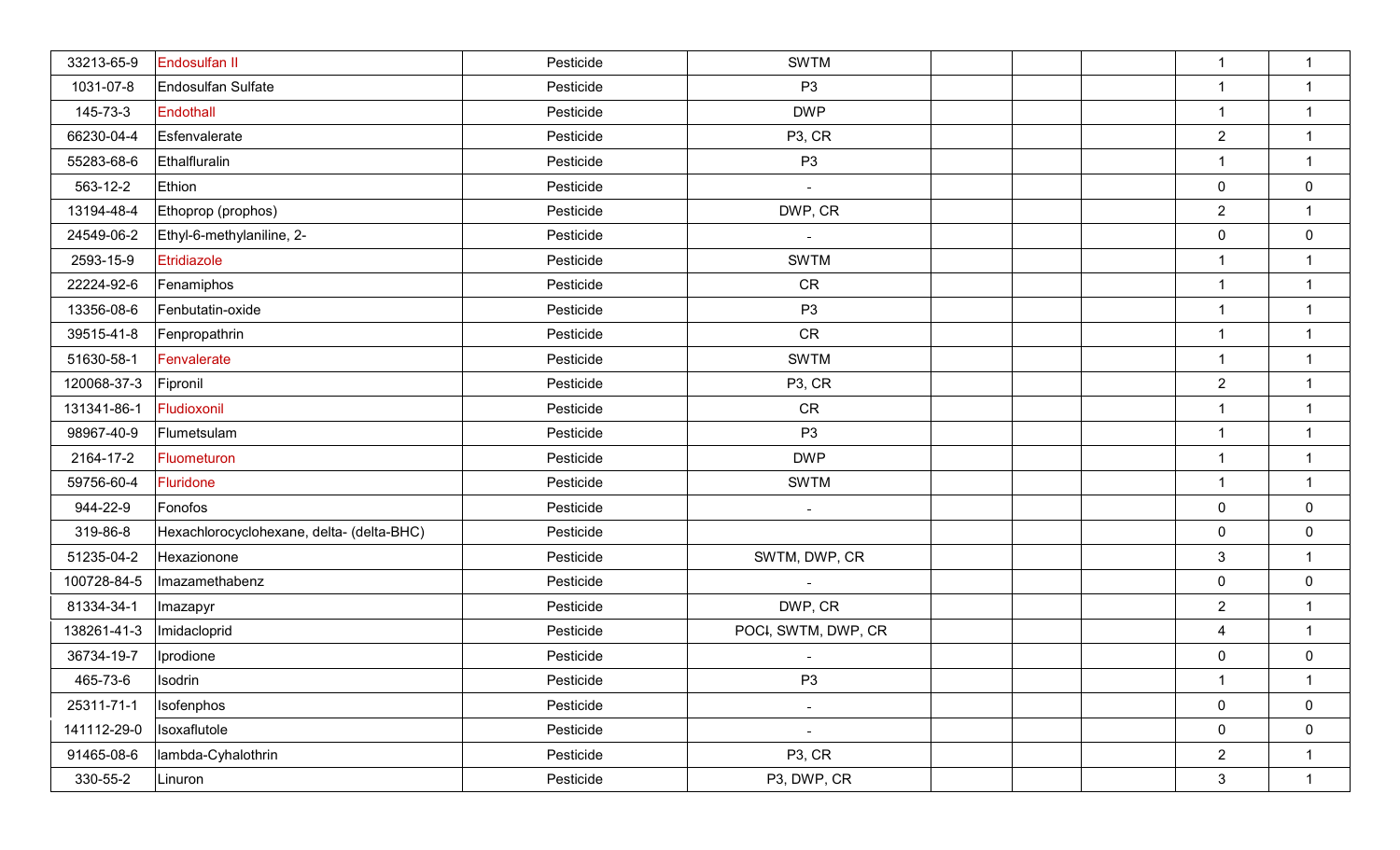| 33213-65-9  | Endosulfan II                             | Pesticide | <b>SWTM</b>         |  | $\mathbf{1}$            | $\mathbf{1}$     |
|-------------|-------------------------------------------|-----------|---------------------|--|-------------------------|------------------|
| 1031-07-8   | Endosulfan Sulfate                        | Pesticide | P <sub>3</sub>      |  | $\overline{1}$          | $\mathbf{1}$     |
| 145-73-3    | Endothall                                 | Pesticide | <b>DWP</b>          |  | $\mathbf{1}$            | $\mathbf{1}$     |
| 66230-04-4  | Esfenvalerate                             | Pesticide | P <sub>3</sub> , CR |  | $\overline{2}$          | $\mathbf{1}$     |
| 55283-68-6  | Ethalfluralin                             | Pesticide | P <sub>3</sub>      |  | $\mathbf 1$             | $\mathbf{1}$     |
| 563-12-2    | Ethion                                    | Pesticide |                     |  | $\mathbf 0$             | $\mathbf 0$      |
| 13194-48-4  | Ethoprop (prophos)                        | Pesticide | DWP, CR             |  | $\overline{2}$          | $\mathbf{1}$     |
| 24549-06-2  | Ethyl-6-methylaniline, 2-                 | Pesticide | $\sim$              |  | $\mathbf 0$             | $\mathbf 0$      |
| 2593-15-9   | Etridiazole                               | Pesticide | <b>SWTM</b>         |  | $\mathbf 1$             | $\mathbf 1$      |
| 22224-92-6  | Fenamiphos                                | Pesticide | <b>CR</b>           |  | $\overline{1}$          | $\mathbf{1}$     |
| 13356-08-6  | Fenbutatin-oxide                          | Pesticide | P <sub>3</sub>      |  | $\mathbf{1}$            | $\mathbf 1$      |
| 39515-41-8  | Fenpropathrin                             | Pesticide | CR                  |  | $\overline{1}$          | $\mathbf{1}$     |
| 51630-58-1  | Fenvalerate                               | Pesticide | <b>SWTM</b>         |  | $\mathbf{1}$            | 1                |
| 120068-37-3 | Fipronil                                  | Pesticide | P <sub>3</sub> , CR |  | $\overline{2}$          | $\mathbf{1}$     |
| 131341-86-1 | Fludioxonil                               | Pesticide | <b>CR</b>           |  | $\mathbf{1}$            | $\mathbf 1$      |
| 98967-40-9  | Flumetsulam                               | Pesticide | P <sub>3</sub>      |  | $\overline{\mathbf{1}}$ | $\mathbf{1}$     |
| 2164-17-2   | Fluometuron                               | Pesticide | <b>DWP</b>          |  | $\overline{1}$          | $\mathbf{1}$     |
| 59756-60-4  | Fluridone                                 | Pesticide | <b>SWTM</b>         |  | $\overline{1}$          | $\mathbf{1}$     |
| 944-22-9    | Fonofos                                   | Pesticide | $\sim$              |  | $\mathbf 0$             | $\mathbf 0$      |
| 319-86-8    | Hexachlorocyclohexane, delta- (delta-BHC) | Pesticide |                     |  | $\mathbf 0$             | $\mathbf 0$      |
| 51235-04-2  | Hexazionone                               | Pesticide | SWTM, DWP, CR       |  | $\mathbf{3}$            | $\mathbf{1}$     |
| 100728-84-5 | Imazamethabenz                            | Pesticide |                     |  | $\mathbf 0$             | $\mathbf 0$      |
| 81334-34-1  | Imazapyr                                  | Pesticide | DWP, CR             |  | $\overline{2}$          | $\mathbf{1}$     |
| 138261-41-3 | Imidacloprid                              | Pesticide | POCI, SWTM, DWP, CR |  | $\overline{\mathbf{4}}$ | $\mathbf{1}$     |
| 36734-19-7  | Iprodione                                 | Pesticide |                     |  | $\pmb{0}$               | $\boldsymbol{0}$ |
| 465-73-6    | Isodrin                                   | Pesticide | P <sub>3</sub>      |  | $\mathbf{1}$            | $\mathbf{1}$     |
| 25311-71-1  | Isofenphos                                | Pesticide | $\equiv$            |  | $\mathbf 0$             | $\mathbf 0$      |
| 141112-29-0 | Isoxaflutole                              | Pesticide |                     |  | $\pmb{0}$               | $\mathbf 0$      |
| 91465-08-6  | lambda-Cyhalothrin                        | Pesticide | P <sub>3</sub> , CR |  | $\overline{2}$          | $\mathbf{1}$     |
| 330-55-2    | Linuron                                   | Pesticide | P3, DWP, CR         |  | $\sqrt{3}$              | $\mathbf{1}$     |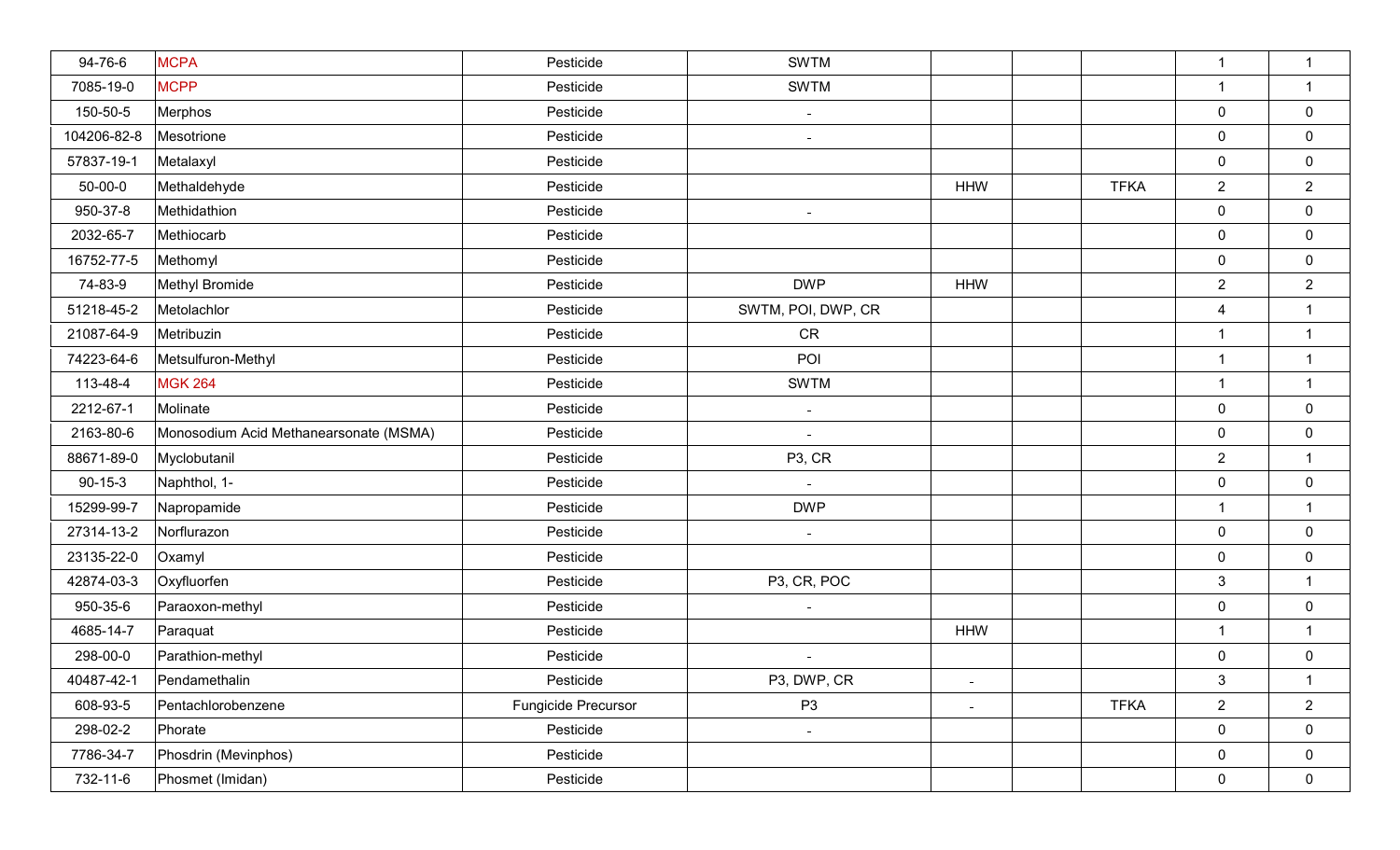| 94-76-6       | <b>MCPA</b>                            | Pesticide           | <b>SWTM</b>         |                |             | $\mathbf{1}$   | $\mathbf{1}$     |
|---------------|----------------------------------------|---------------------|---------------------|----------------|-------------|----------------|------------------|
| 7085-19-0     | <b>MCPP</b>                            | Pesticide           | <b>SWTM</b>         |                |             | $\overline{1}$ | $\mathbf{1}$     |
| 150-50-5      | Merphos                                | Pesticide           | $\sim$              |                |             | $\mathbf 0$    | $\pmb{0}$        |
| 104206-82-8   | Mesotrione                             | Pesticide           | $\sim$              |                |             | $\mathbf 0$    | $\mathbf 0$      |
| 57837-19-1    | Metalaxyl                              | Pesticide           |                     |                |             | $\mathbf 0$    | $\mathbf 0$      |
| $50 - 00 - 0$ | Methaldehyde                           | Pesticide           |                     | <b>HHW</b>     | <b>TFKA</b> | $\overline{2}$ | $\overline{2}$   |
| 950-37-8      | Methidathion                           | Pesticide           | $\sim$              |                |             | $\mathbf 0$    | $\mathbf 0$      |
| 2032-65-7     | Methiocarb                             | Pesticide           |                     |                |             | $\mathbf 0$    | $\mathbf 0$      |
| 16752-77-5    | Methomyl                               | Pesticide           |                     |                |             | $\mathbf 0$    | $\mathbf 0$      |
| 74-83-9       | Methyl Bromide                         | Pesticide           | <b>DWP</b>          | <b>HHW</b>     |             | $\overline{2}$ | $\overline{2}$   |
| 51218-45-2    | Metolachlor                            | Pesticide           | SWTM, POI, DWP, CR  |                |             | $\overline{4}$ | $\mathbf{1}$     |
| 21087-64-9    | Metribuzin                             | Pesticide           | <b>CR</b>           |                |             | $\overline{1}$ | $\mathbf{1}$     |
| 74223-64-6    | Metsulfuron-Methyl                     | Pesticide           | POI                 |                |             | $\overline{1}$ | $\mathbf 1$      |
| 113-48-4      | <b>MGK 264</b>                         | Pesticide           | <b>SWTM</b>         |                |             | $\overline{1}$ | $\mathbf{1}$     |
| 2212-67-1     | Molinate                               | Pesticide           | $\sim$              |                |             | $\mathbf 0$    | $\boldsymbol{0}$ |
| 2163-80-6     | Monosodium Acid Methanearsonate (MSMA) | Pesticide           | $\sim$              |                |             | $\mathbf 0$    | $\boldsymbol{0}$ |
| 88671-89-0    | Myclobutanil                           | Pesticide           | P <sub>3</sub> , CR |                |             | $\overline{2}$ | $\mathbf{1}$     |
| $90 - 15 - 3$ | Naphthol, 1-                           | Pesticide           | $\sim$              |                |             | $\mathbf 0$    | $\boldsymbol{0}$ |
| 15299-99-7    | Napropamide                            | Pesticide           | <b>DWP</b>          |                |             | $\mathbf{1}$   | $\mathbf{1}$     |
| 27314-13-2    | Norflurazon                            | Pesticide           | $\sim$              |                |             | $\mathbf 0$    | $\mathbf 0$      |
| 23135-22-0    | Oxamyl                                 | Pesticide           |                     |                |             | $\mathbf 0$    | $\mathbf 0$      |
| 42874-03-3    | Oxyfluorfen                            | Pesticide           | P3, CR, POC         |                |             | $\mathbf{3}$   | $\mathbf{1}$     |
| 950-35-6      | Paraoxon-methyl                        | Pesticide           |                     |                |             | $\mathbf 0$    | $\boldsymbol{0}$ |
| 4685-14-7     | Paraquat                               | Pesticide           |                     | <b>HHW</b>     |             | $\overline{1}$ | $\mathbf{1}$     |
| 298-00-0      | Parathion-methyl                       | Pesticide           |                     |                |             | $\mathbf 0$    | $\mathbf 0$      |
| 40487-42-1    | Pendamethalin                          | Pesticide           | P3, DWP, CR         | ÷              |             | $\mathbf{3}$   | $\mathbf{1}$     |
| 608-93-5      | Pentachlorobenzene                     | Fungicide Precursor | P <sub>3</sub>      | $\blacksquare$ | <b>TFKA</b> | $\overline{2}$ | $\overline{2}$   |
| 298-02-2      | Phorate                                | Pesticide           | $\sim$              |                |             | $\mathbf 0$    | $\overline{0}$   |
| 7786-34-7     | Phosdrin (Mevinphos)                   | Pesticide           |                     |                |             | $\mathbf 0$    | $\mathbf 0$      |
| 732-11-6      | Phosmet (Imidan)                       | Pesticide           |                     |                |             | $\mathbf 0$    | $\mathbf 0$      |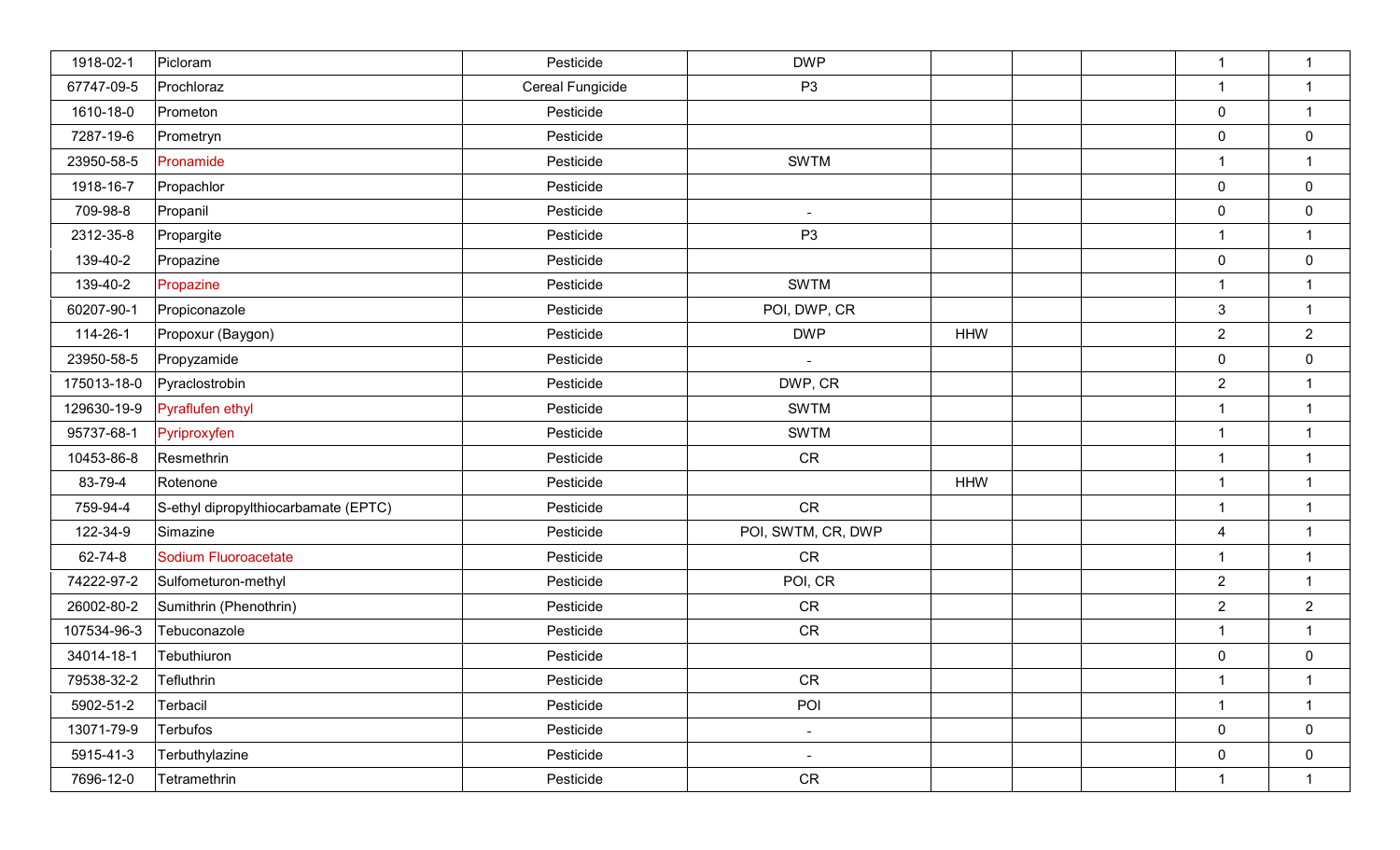| 1918-02-1   | Picloram                             | Pesticide        | <b>DWP</b>         |            | $\mathbf{1}$   | $\mathbf{1}$     |
|-------------|--------------------------------------|------------------|--------------------|------------|----------------|------------------|
| 67747-09-5  | Prochloraz                           | Cereal Fungicide | P <sub>3</sub>     |            | $\mathbf{1}$   | $\mathbf{1}$     |
| 1610-18-0   | Prometon                             | Pesticide        |                    |            | $\pmb{0}$      | $\mathbf{1}$     |
| 7287-19-6   | Prometryn                            | Pesticide        |                    |            | $\mathbf 0$    | $\mathbf 0$      |
| 23950-58-5  | Pronamide                            | Pesticide        | <b>SWTM</b>        |            | $\mathbf 1$    | $\mathbf{1}$     |
| 1918-16-7   | Propachlor                           | Pesticide        |                    |            | $\mathbf 0$    | $\mathbf 0$      |
| 709-98-8    | Propanil                             | Pesticide        | $\sim$             |            | $\pmb{0}$      | $\mathbf 0$      |
| 2312-35-8   | Propargite                           | Pesticide        | P <sub>3</sub>     |            | $\mathbf{1}$   | $\mathbf{1}$     |
| 139-40-2    | Propazine                            | Pesticide        |                    |            | $\pmb{0}$      | $\boldsymbol{0}$ |
| 139-40-2    | Propazine                            | Pesticide        | <b>SWTM</b>        |            | $\mathbf{1}$   | $\mathbf{1}$     |
| 60207-90-1  | Propiconazole                        | Pesticide        | POI, DWP, CR       |            | $\mathsf 3$    | $\mathbf{1}$     |
| 114-26-1    | Propoxur (Baygon)                    | Pesticide        | <b>DWP</b>         | <b>HHW</b> | $\sqrt{2}$     | $\overline{2}$   |
| 23950-58-5  | Propyzamide                          | Pesticide        | $\equiv$           |            | $\pmb{0}$      | $\mathbf 0$      |
| 175013-18-0 | Pyraclostrobin                       | Pesticide        | DWP, CR            |            | $\overline{2}$ | $\mathbf{1}$     |
| 129630-19-9 | Pyraflufen ethyl                     | Pesticide        | <b>SWTM</b>        |            | $\overline{1}$ | $\mathbf{1}$     |
| 95737-68-1  | Pyriproxyfen                         | Pesticide        | <b>SWTM</b>        |            | $\overline{1}$ | $\mathbf{1}$     |
| 10453-86-8  | Resmethrin                           | Pesticide        | CR                 |            | $\overline{1}$ | $\mathbf{1}$     |
| 83-79-4     | Rotenone                             | Pesticide        |                    | <b>HHW</b> | $\mathbf{1}$   | $\mathbf{1}$     |
| 759-94-4    | S-ethyl dipropylthiocarbamate (EPTC) | Pesticide        | <b>CR</b>          |            | $\mathbf{1}$   | $\mathbf{1}$     |
| 122-34-9    | Simazine                             | Pesticide        | POI, SWTM, CR, DWP |            | $\overline{4}$ | $\mathbf{1}$     |
| 62-74-8     | Sodium Fluoroacetate                 | Pesticide        | <b>CR</b>          |            | $\mathbf{1}$   | $\mathbf{1}$     |
| 74222-97-2  | Sulfometuron-methyl                  | Pesticide        | POI, CR            |            | $\overline{2}$ | $\overline{1}$   |
| 26002-80-2  | Sumithrin (Phenothrin)               | Pesticide        | CR                 |            | $\sqrt{2}$     | $\overline{2}$   |
| 107534-96-3 | Tebuconazole                         | Pesticide        | CR                 |            | $\overline{1}$ | $\mathbf{1}$     |
| 34014-18-1  | Tebuthiuron                          | Pesticide        |                    |            | $\pmb{0}$      | $\mathbf 0$      |
| 79538-32-2  | Tefluthrin                           | Pesticide        | <b>CR</b>          |            | $\mathbf{1}$   | $\mathbf{1}$     |
| 5902-51-2   | Terbacil                             | Pesticide        | POI                |            | $\mathbf{1}$   | $\mathbf{1}$     |
| 13071-79-9  | Terbufos                             | Pesticide        | $\equiv$           |            | $\mathbf 0$    | $\overline{0}$   |
| 5915-41-3   | Terbuthylazine                       | Pesticide        | $\sim$             |            | $\pmb{0}$      | $\mathbf 0$      |
| 7696-12-0   | Tetramethrin                         | Pesticide        | ${\sf CR}$         |            | $\mathbf 1$    | $\mathbf{1}$     |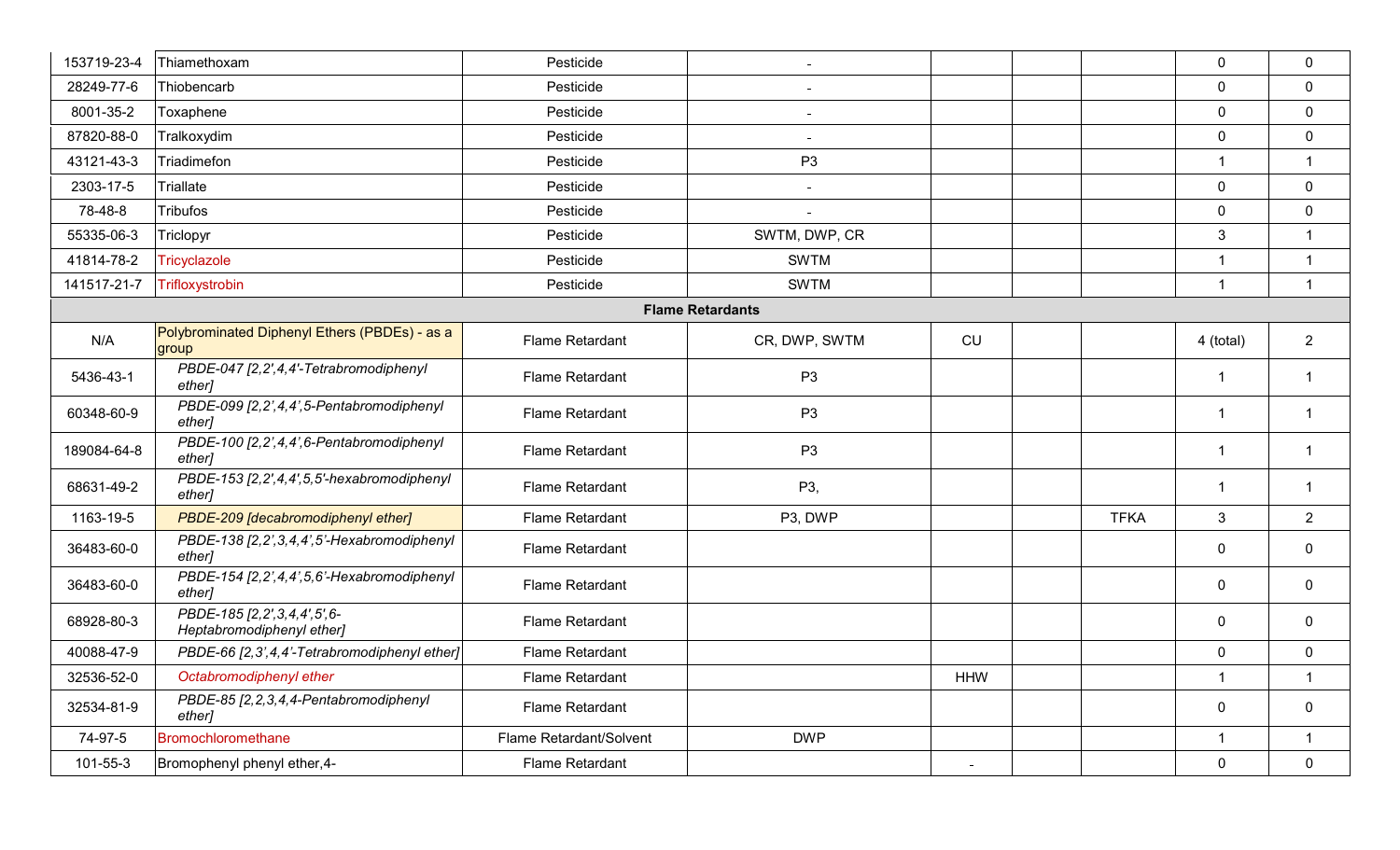| 153719-23-4 | Thiamethoxam                                                   | Pesticide               |                         |            |             | $\mathbf 0$         | $\mathbf 0$    |
|-------------|----------------------------------------------------------------|-------------------------|-------------------------|------------|-------------|---------------------|----------------|
| 28249-77-6  | Thiobencarb                                                    | Pesticide               |                         |            |             | $\mathbf 0$         | $\mathbf 0$    |
| 8001-35-2   | Toxaphene                                                      | Pesticide               |                         |            |             | $\mathbf 0$         | $\mathbf 0$    |
| 87820-88-0  | Tralkoxydim                                                    | Pesticide               |                         |            |             | $\mathsf{O}\xspace$ | $\mathbf 0$    |
| 43121-43-3  | Triadimefon                                                    | Pesticide               | P <sub>3</sub>          |            |             | $\mathbf{1}$        | $\overline{1}$ |
| 2303-17-5   | Triallate                                                      | Pesticide               | $\sim$                  |            |             | $\mathbf 0$         | $\mathbf 0$    |
| 78-48-8     | <b>Tribufos</b>                                                | Pesticide               |                         |            |             | $\mathbf 0$         | $\mathbf 0$    |
| 55335-06-3  | Triclopyr                                                      | Pesticide               | SWTM, DWP, CR           |            |             | $\mathbf{3}$        | $\overline{1}$ |
| 41814-78-2  | Tricyclazole                                                   | Pesticide               | <b>SWTM</b>             |            |             | $\overline{1}$      | $\mathbf{1}$   |
| 141517-21-7 | Trifloxystrobin                                                | Pesticide               | <b>SWTM</b>             |            |             | $\overline{1}$      | $\overline{1}$ |
|             |                                                                |                         | <b>Flame Retardants</b> |            |             |                     |                |
| N/A         | Polybrominated Diphenyl Ethers (PBDEs) - as a<br>group         | Flame Retardant         | CR, DWP, SWTM           | CU         |             | 4 (total)           | $\overline{2}$ |
| 5436-43-1   | PBDE-047 [2,2',4,4'-Tetrabromodiphenyl<br>ether]               | <b>Flame Retardant</b>  | P <sub>3</sub>          |            |             | $\overline{1}$      | $\overline{1}$ |
| 60348-60-9  | PBDE-099 [2,2',4,4',5-Pentabromodiphenyl<br>ether]             | Flame Retardant         | P <sub>3</sub>          |            |             | $\overline{1}$      | $\overline{1}$ |
| 189084-64-8 | PBDE-100 [2,2',4,4',6-Pentabromodiphenyl<br>ether]             | Flame Retardant         | P <sub>3</sub>          |            |             | -1                  | $\overline{1}$ |
| 68631-49-2  | PBDE-153 [2,2',4,4',5,5'-hexabromodiphenyl<br>ether]           | Flame Retardant         | P3,                     |            |             | $\mathbf{1}$        | $\overline{1}$ |
| 1163-19-5   | PBDE-209 [decabromodiphenyl ether]                             | <b>Flame Retardant</b>  | P3, DWP                 |            | <b>TFKA</b> | $\mathbf{3}$        | $\overline{2}$ |
| 36483-60-0  | PBDE-138 [2,2', 3,4,4', 5'-Hexabromodiphenyl<br>ether]         | Flame Retardant         |                         |            |             | $\mathbf 0$         | $\mathbf 0$    |
| 36483-60-0  | PBDE-154 [2,2',4,4',5,6'-Hexabromodiphenyl<br>ether]           | <b>Flame Retardant</b>  |                         |            |             | $\mathbf 0$         | $\mathbf 0$    |
| 68928-80-3  | PBDE-185 [2, 2', 3, 4, 4', 5', 6-<br>Heptabromodiphenyl ether] | <b>Flame Retardant</b>  |                         |            |             | $\mathbf 0$         | $\mathbf 0$    |
| 40088-47-9  | PBDE-66 [2,3',4,4'-Tetrabromodiphenyl ether]                   | <b>Flame Retardant</b>  |                         |            |             | $\mathbf 0$         | $\mathbf 0$    |
| 32536-52-0  | Octabromodiphenyl ether                                        | <b>Flame Retardant</b>  |                         | <b>HHW</b> |             | $\mathbf{1}$        | $\overline{1}$ |
| 32534-81-9  | PBDE-85 [2, 2, 3, 4, 4-Pentabromodiphenyl<br>ether]            | <b>Flame Retardant</b>  |                         |            |             | $\mathbf 0$         | $\mathbf 0$    |
| 74-97-5     | <b>Bromochloromethane</b>                                      | Flame Retardant/Solvent | <b>DWP</b>              |            |             | $\mathbf{1}$        | $\overline{1}$ |
| 101-55-3    | Bromophenyl phenyl ether, 4-                                   | Flame Retardant         |                         |            |             | $\mathbf 0$         | $\mathbf 0$    |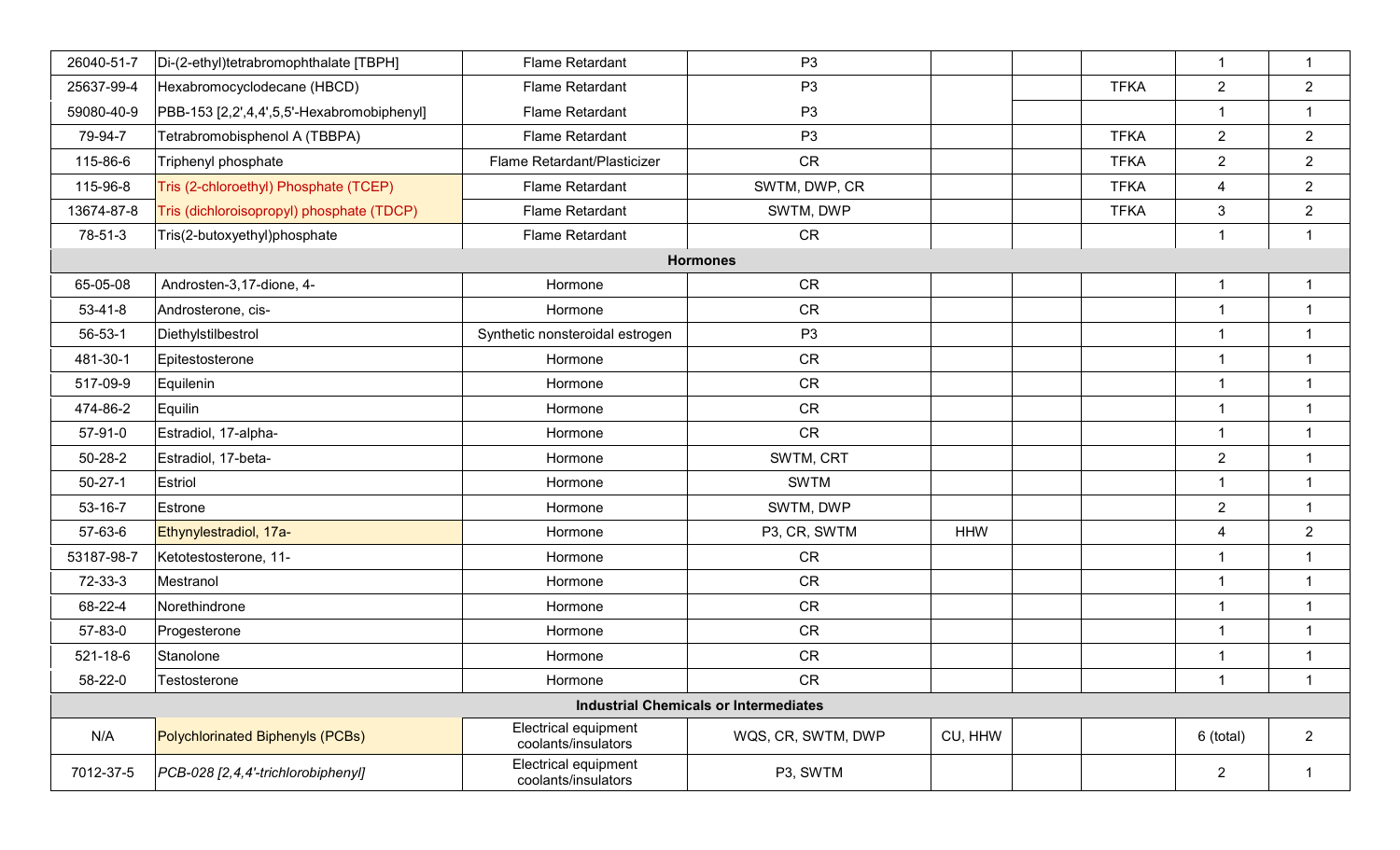| 26040-51-7    | Di-(2-ethyl)tetrabromophthalate [TBPH]     | Flame Retardant                                    | P <sub>3</sub>                               |            |             | $\mathbf{1}$   | $\overline{1}$          |
|---------------|--------------------------------------------|----------------------------------------------------|----------------------------------------------|------------|-------------|----------------|-------------------------|
| 25637-99-4    | Hexabromocyclodecane (HBCD)                | Flame Retardant                                    | P <sub>3</sub>                               |            | <b>TFKA</b> | $\overline{2}$ | $\overline{2}$          |
| 59080-40-9    | PBB-153 [2,2',4,4',5,5'-Hexabromobiphenyl] | Flame Retardant                                    | P <sub>3</sub>                               |            |             | 1              | $\mathbf{1}$            |
| 79-94-7       | Tetrabromobisphenol A (TBBPA)              | Flame Retardant                                    | P <sub>3</sub>                               |            | <b>TFKA</b> | $\overline{2}$ | $\overline{2}$          |
| 115-86-6      | Triphenyl phosphate                        | Flame Retardant/Plasticizer                        | <b>CR</b>                                    |            | <b>TFKA</b> | $\overline{2}$ | $\overline{2}$          |
| 115-96-8      | Tris (2-chloroethyl) Phosphate (TCEP)      | Flame Retardant                                    | SWTM, DWP, CR                                |            | <b>TFKA</b> | 4              | $\overline{2}$          |
| 13674-87-8    | Tris (dichloroisopropyl) phosphate (TDCP)  | Flame Retardant                                    | SWTM, DWP                                    |            | <b>TFKA</b> | $\mathfrak{S}$ | $\overline{2}$          |
| 78-51-3       | Tris(2-butoxyethyl)phosphate               | Flame Retardant                                    | <b>CR</b>                                    |            |             | $\overline{1}$ | $\overline{1}$          |
|               |                                            |                                                    | <b>Hormones</b>                              |            |             |                |                         |
| 65-05-08      | Androsten-3,17-dione, 4-                   | Hormone                                            | <b>CR</b>                                    |            |             | -1             | $\overline{1}$          |
| $53 - 41 - 8$ | Androsterone, cis-                         | Hormone                                            | <b>CR</b>                                    |            |             | $\overline{1}$ | $\overline{1}$          |
| $56 - 53 - 1$ | Diethylstilbestrol                         | Synthetic nonsteroidal estrogen                    | P <sub>3</sub>                               |            |             | $\overline{1}$ | $\overline{1}$          |
| 481-30-1      | Epitestosterone                            | Hormone                                            | <b>CR</b>                                    |            |             | $\overline{1}$ | $\overline{\mathbf{1}}$ |
| 517-09-9      | Equilenin                                  | Hormone                                            | <b>CR</b>                                    |            |             | $\overline{1}$ | $\overline{1}$          |
| 474-86-2      | Equilin                                    | Hormone                                            | <b>CR</b>                                    |            |             | $\overline{1}$ | $\overline{\mathbf{1}}$ |
| 57-91-0       | Estradiol, 17-alpha-                       | Hormone                                            | <b>CR</b>                                    |            |             | $\overline{1}$ | $\overline{1}$          |
| $50 - 28 - 2$ | Estradiol, 17-beta-                        | Hormone                                            | SWTM, CRT                                    |            |             | $\overline{2}$ | $\overline{1}$          |
| $50 - 27 - 1$ | Estriol                                    | Hormone                                            | <b>SWTM</b>                                  |            |             | $\overline{1}$ | $\overline{1}$          |
| 53-16-7       | Estrone                                    | Hormone                                            | SWTM, DWP                                    |            |             | $\overline{2}$ | $\overline{1}$          |
| 57-63-6       | Ethynylestradiol, 17a-                     | Hormone                                            | P3, CR, SWTM                                 | <b>HHW</b> |             | $\overline{4}$ | 2                       |
| 53187-98-7    | Ketotestosterone, 11-                      | Hormone                                            | <b>CR</b>                                    |            |             | $\overline{1}$ | $\mathbf{1}$            |
| 72-33-3       | Mestranol                                  | Hormone                                            | <b>CR</b>                                    |            |             | $\overline{1}$ | $\mathbf{1}$            |
| 68-22-4       | Norethindrone                              | Hormone                                            | CR                                           |            |             | $\overline{1}$ | $\mathbf{1}$            |
| 57-83-0       | Progesterone                               | Hormone                                            | CR                                           |            |             | $\overline{1}$ | $\mathbf{1}$            |
| 521-18-6      | Stanolone                                  | Hormone                                            | CR                                           |            |             | $\overline{1}$ | $\mathbf{1}$            |
| 58-22-0       | Testosterone                               | Hormone                                            | <b>CR</b>                                    |            |             | -1             | -1                      |
|               |                                            |                                                    | <b>Industrial Chemicals or Intermediates</b> |            |             |                |                         |
| N/A           | Polychlorinated Biphenyls (PCBs)           | <b>Electrical equipment</b><br>coolants/insulators | WQS, CR, SWTM, DWP                           | CU, HHW    |             | 6 (total)      | $\overline{2}$          |
| 7012-37-5     | PCB-028 [2,4,4'-trichlorobiphenyl]         | Electrical equipment<br>coolants/insulators        | P3, SWTM                                     |            |             | $\overline{2}$ | $\mathbf{1}$            |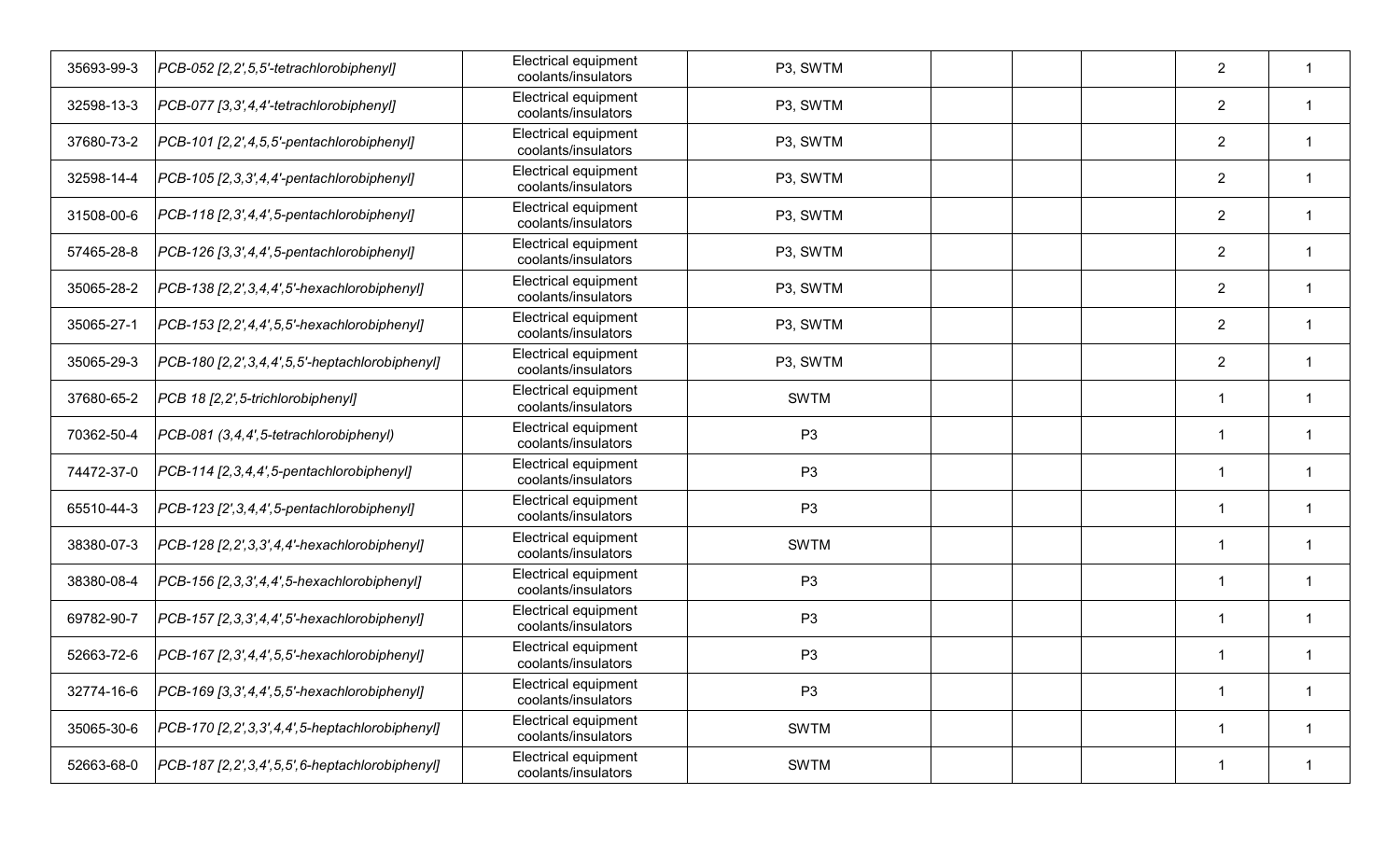| 35693-99-3 | PCB-052 [2,2',5,5'-tetrachlorobiphenyl]                | <b>Electrical equipment</b><br>coolants/insulators | P3, SWTM       |  | $\overline{2}$ |    |
|------------|--------------------------------------------------------|----------------------------------------------------|----------------|--|----------------|----|
| 32598-13-3 | PCB-077 [3,3',4,4'-tetrachlorobiphenyl]                | Electrical equipment<br>coolants/insulators        | P3, SWTM       |  | $\overline{2}$ | -1 |
| 37680-73-2 | PCB-101 [2,2',4,5,5'-pentachlorobiphenyl]              | Electrical equipment<br>coolants/insulators        | P3, SWTM       |  | $\overline{2}$ |    |
| 32598-14-4 | [PCB-105 [2, 3, 3', 4, 4'-pentachlorobiphenyl]         | Electrical equipment<br>coolants/insulators        | P3, SWTM       |  | $\overline{2}$ |    |
| 31508-00-6 | [PCB-118 [2,3',4,4',5-pentachlorobiphenyl]             | Electrical equipment<br>coolants/insulators        | P3, SWTM       |  | $\overline{2}$ | 1  |
| 57465-28-8 | [PCB-126 [3,3',4,4',5-pentachlorobiphenyl]             | Electrical equipment<br>coolants/insulators        | P3, SWTM       |  | $\overline{2}$ |    |
| 35065-28-2 | [PCB-138 [2,2', 3,4,4',5'-hexachlorobiphenyl]          | Electrical equipment<br>coolants/insulators        | P3, SWTM       |  | $\overline{2}$ |    |
| 35065-27-1 | $PCB-153$ [2,2',4,4',5,5'-hexachlorobiphenyl]          | Electrical equipment<br>coolants/insulators        | P3, SWTM       |  | $\overline{2}$ |    |
| 35065-29-3 | $PCB-180$ [2, 2', 3, 4, 4', 5, 5'-heptachlorobiphenyl] | <b>Electrical equipment</b><br>coolants/insulators | P3, SWTM       |  | $\overline{2}$ |    |
| 37680-65-2 | PCB 18 [2,2', 5-trichlorobiphenyl]                     | Electrical equipment<br>coolants/insulators        | <b>SWTM</b>    |  | $\overline{1}$ | 1  |
| 70362-50-4 | PCB-081 (3,4,4',5-tetrachlorobiphenyl)                 | Electrical equipment<br>coolants/insulators        | P <sub>3</sub> |  | -1             |    |
| 74472-37-0 | PCB-114 [2, 3, 4, 4', 5-pentachlorobiphenyl]           | Electrical equipment<br>coolants/insulators        | P <sub>3</sub> |  |                | 1  |
| 65510-44-3 | $PCB-123 [2',3,4,4',5-pentachlorobiphenyl]$            | Electrical equipment<br>coolants/insulators        | P <sub>3</sub> |  | $\mathbf 1$    |    |
| 38380-07-3 | [PCB-128 [2,2',3,3',4,4'-hexachlorobiphenyl]           | <b>Electrical equipment</b><br>coolants/insulators | <b>SWTM</b>    |  | -1             |    |
| 38380-08-4 | [PCB-156 [2, 3, 3', 4, 4', 5-hexachlorobiphenyl]       | Electrical equipment<br>coolants/insulators        | P <sub>3</sub> |  | $\mathbf 1$    |    |
| 69782-90-7 | PCB-157 [2,3,3',4,4',5'-hexachlorobiphenyl]            | Electrical equipment<br>coolants/insulators        | P <sub>3</sub> |  | -1             |    |
| 52663-72-6 | $PCB-167$ [2,3',4,4',5,5'-hexachlorobiphenyl]          | Electrical equipment<br>coolants/insulators        | P <sub>3</sub> |  |                |    |
| 32774-16-6 | $PCB-169$ [3,3',4,4',5,5'-hexachlorobiphenyl]          | Electrical equipment<br>coolants/insulators        | P <sub>3</sub> |  | $\mathbf 1$    | -1 |
| 35065-30-6 | $PCB-170$ $[2,2',3,3',4,4',5$ -heptachlorobiphenyl]    | Electrical equipment<br>coolants/insulators        | <b>SWTM</b>    |  |                | -1 |
| 52663-68-0 | $PCB-187$ [2,2', 3,4', 5,5', 6-heptachlorobiphenyl]    | Electrical equipment<br>coolants/insulators        | <b>SWTM</b>    |  |                | -1 |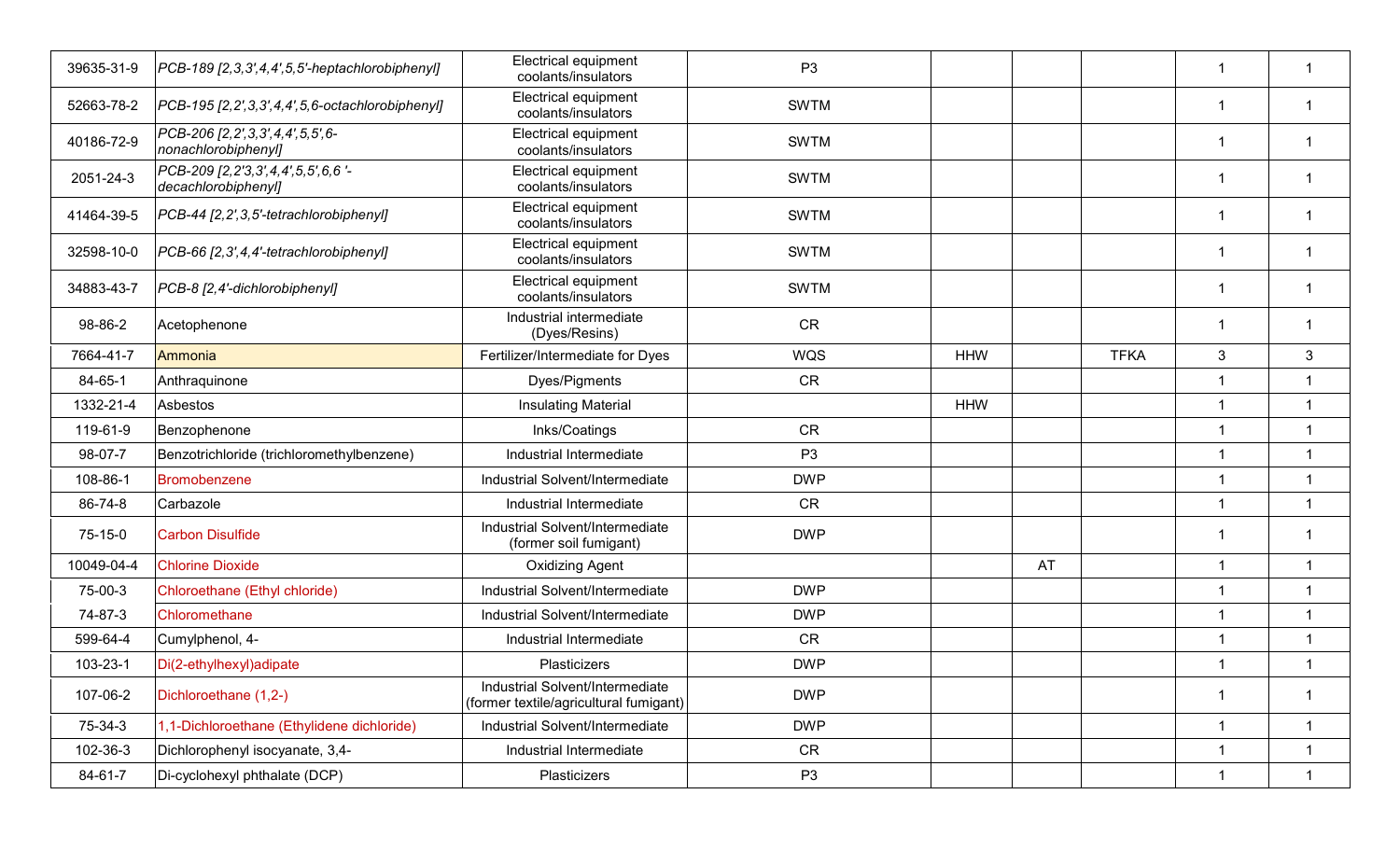| 39635-31-9 | [PCB-189 [2,3,3',4,4',5,5'-heptachlorobiphenyl]                | <b>Electrical equipment</b><br>coolants/insulators                        | P <sub>3</sub> |            |    |             | -1                      |                         |
|------------|----------------------------------------------------------------|---------------------------------------------------------------------------|----------------|------------|----|-------------|-------------------------|-------------------------|
| 52663-78-2 | $PCB-195$ [2,2',3,3',4,4',5,6-octachlorobiphenyl]              | <b>Electrical equipment</b><br>coolants/insulators                        | <b>SWTM</b>    |            |    |             | $\overline{\mathbf{1}}$ |                         |
| 40186-72-9 | PCB-206 [2, 2', 3, 3', 4, 4', 5, 5', 6-<br>nonachlorobiphenyl] | Electrical equipment<br>coolants/insulators                               | <b>SWTM</b>    |            |    |             | -1                      |                         |
| 2051-24-3  | PCB-209 [2,2'3,3',4,4',5,5',6,6'-<br>decachlorobiphenyl]       | Electrical equipment<br>coolants/insulators                               | <b>SWTM</b>    |            |    |             | $\mathbf 1$             | -1                      |
| 41464-39-5 | PCB-44 [2,2',3,5'-tetrachlorobiphenyl]                         | Electrical equipment<br>coolants/insulators                               | <b>SWTM</b>    |            |    |             | $\mathbf{1}$            | $\mathbf 1$             |
| 32598-10-0 | PCB-66 [2,3',4,4'-tetrachlorobiphenyl]                         | Electrical equipment<br>coolants/insulators                               | <b>SWTM</b>    |            |    |             | -1                      |                         |
| 34883-43-7 | PCB-8 [2,4'-dichlorobiphenyl]                                  | Electrical equipment<br>coolants/insulators                               | <b>SWTM</b>    |            |    |             | -1                      |                         |
| 98-86-2    | Acetophenone                                                   | Industrial intermediate<br>(Dyes/Resins)                                  | <b>CR</b>      |            |    |             | -1                      |                         |
| 7664-41-7  | Ammonia                                                        | Fertilizer/Intermediate for Dyes                                          | WQS            | <b>HHW</b> |    | <b>TFKA</b> | 3                       | 3                       |
| 84-65-1    | Anthraquinone                                                  | Dyes/Pigments                                                             | <b>CR</b>      |            |    |             | $\overline{1}$          | $\overline{1}$          |
| 1332-21-4  | Asbestos                                                       | <b>Insulating Material</b>                                                |                | <b>HHW</b> |    |             | $\overline{1}$          | $\overline{1}$          |
| 119-61-9   | Benzophenone                                                   | Inks/Coatings                                                             | <b>CR</b>      |            |    |             | $\overline{1}$          | $\overline{1}$          |
| 98-07-7    | Benzotrichloride (trichloromethylbenzene)                      | Industrial Intermediate                                                   | P <sub>3</sub> |            |    |             | $\overline{1}$          | $\overline{1}$          |
| 108-86-1   | Bromobenzene                                                   | Industrial Solvent/Intermediate                                           | <b>DWP</b>     |            |    |             | $\overline{1}$          | $\overline{1}$          |
| 86-74-8    | Carbazole                                                      | Industrial Intermediate                                                   | <b>CR</b>      |            |    |             | $\overline{1}$          | $\overline{1}$          |
| 75-15-0    | <b>Carbon Disulfide</b>                                        | Industrial Solvent/Intermediate<br>(former soil fumigant)                 | <b>DWP</b>     |            |    |             | -1                      | -1                      |
| 10049-04-4 | <b>Chlorine Dioxide</b>                                        | <b>Oxidizing Agent</b>                                                    |                |            | AT |             | $\mathbf{1}$            | $\mathbf{1}$            |
| 75-00-3    | Chloroethane (Ethyl chloride)                                  | Industrial Solvent/Intermediate                                           | <b>DWP</b>     |            |    |             | $\overline{1}$          | $\mathbf{1}$            |
| 74-87-3    | Chloromethane                                                  | Industrial Solvent/Intermediate                                           | <b>DWP</b>     |            |    |             | $\overline{1}$          | $\mathbf{1}$            |
| 599-64-4   | Cumylphenol, 4-                                                | Industrial Intermediate                                                   | <b>CR</b>      |            |    |             | $\overline{1}$          | $\overline{1}$          |
| 103-23-1   | Di(2-ethylhexyl) adipate                                       | Plasticizers                                                              | <b>DWP</b>     |            |    |             | $\overline{\mathbf{1}}$ |                         |
| 107-06-2   | Dichloroethane (1,2-)                                          | Industrial Solvent/Intermediate<br>(former textile/agricultural fumigant) | <b>DWP</b>     |            |    |             | $\mathbf{1}$            | $\overline{\mathbf{1}}$ |
| 75-34-3    | 1,1-Dichloroethane (Ethylidene dichloride)                     | Industrial Solvent/Intermediate                                           | <b>DWP</b>     |            |    |             | $\overline{1}$          | $\overline{1}$          |
| 102-36-3   | Dichlorophenyl isocyanate, 3,4-                                | Industrial Intermediate                                                   | CR             |            |    |             | $\overline{1}$          | $\overline{1}$          |
| 84-61-7    | Di-cyclohexyl phthalate (DCP)                                  | Plasticizers                                                              | P <sub>3</sub> |            |    |             | $\mathbf{1}$            | $\mathbf{1}$            |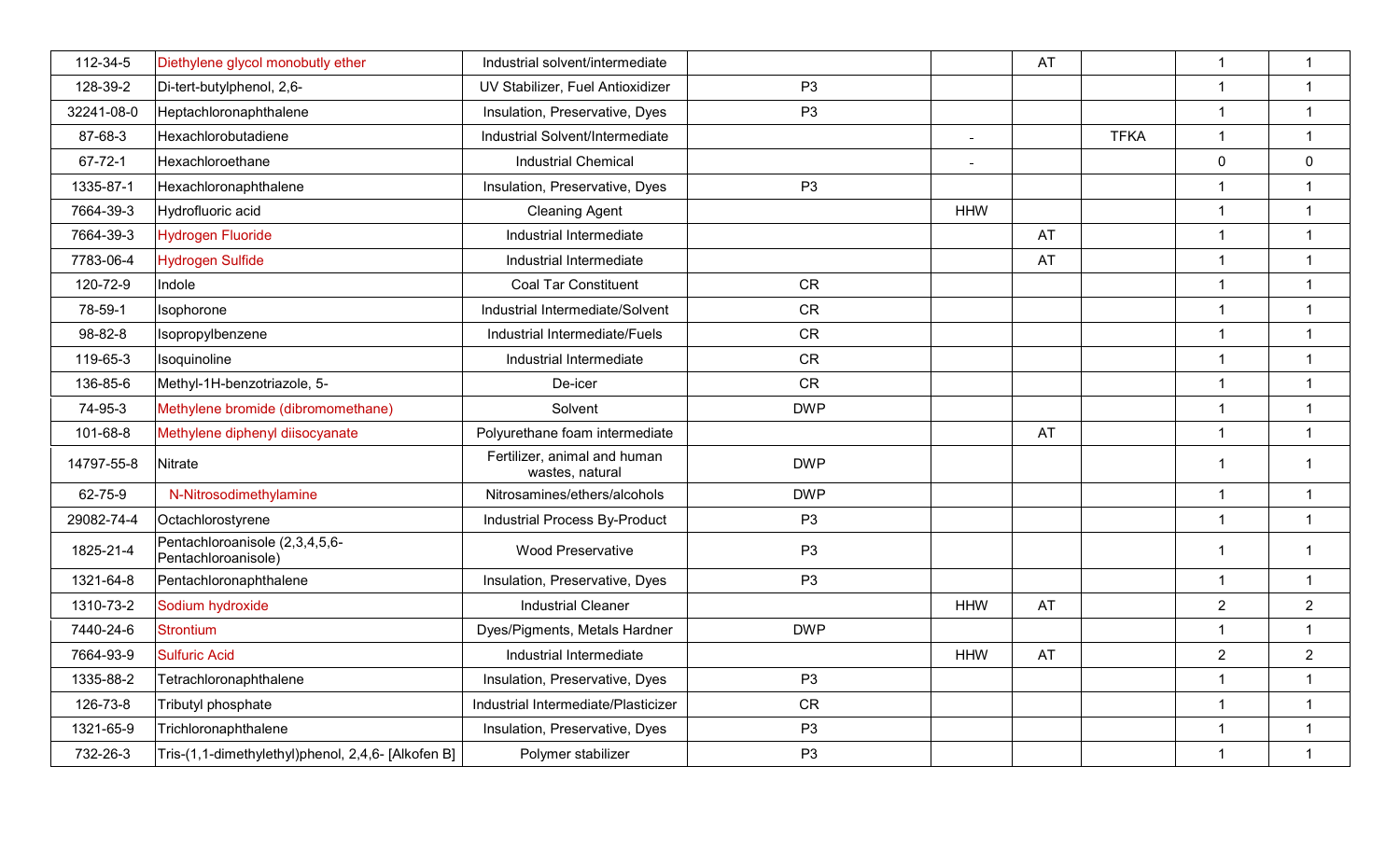| 112-34-5      |                                                       | Industrial solvent/intermediate                 |                |                | AT          | $\overline{1}$ | $\mathbf{1}$   |
|---------------|-------------------------------------------------------|-------------------------------------------------|----------------|----------------|-------------|----------------|----------------|
|               | Diethylene glycol monobutly ether                     |                                                 |                |                |             |                |                |
| 128-39-2      | Di-tert-butylphenol, 2,6-                             | UV Stabilizer, Fuel Antioxidizer                | P <sub>3</sub> |                |             | $\overline{1}$ | $\mathbf{1}$   |
| 32241-08-0    | Heptachloronaphthalene                                | Insulation, Preservative, Dyes                  | P <sub>3</sub> |                |             | $\overline{1}$ | $\mathbf{1}$   |
| 87-68-3       | Hexachlorobutadiene                                   | Industrial Solvent/Intermediate                 |                | $\equiv$       | <b>TFKA</b> | $\overline{1}$ | $\mathbf{1}$   |
| $67 - 72 - 1$ | Hexachloroethane                                      | <b>Industrial Chemical</b>                      |                | $\blacksquare$ |             | $\overline{0}$ | $\mathbf 0$    |
| 1335-87-1     | Hexachloronaphthalene                                 | Insulation, Preservative, Dyes                  | P <sub>3</sub> |                |             | 1              | $\mathbf{1}$   |
| 7664-39-3     | Hydrofluoric acid                                     | <b>Cleaning Agent</b>                           |                | <b>HHW</b>     |             | $\overline{1}$ | $\mathbf{1}$   |
| 7664-39-3     | Hydrogen Fluoride                                     | Industrial Intermediate                         |                |                | AT          | $\overline{1}$ | $\mathbf{1}$   |
| 7783-06-4     | Hydrogen Sulfide                                      | Industrial Intermediate                         |                |                | AT          | $\overline{1}$ | $\mathbf{1}$   |
| 120-72-9      | Indole                                                | <b>Coal Tar Constituent</b>                     | <b>CR</b>      |                |             | $\overline{1}$ | $\mathbf{1}$   |
| 78-59-1       | Isophorone                                            | Industrial Intermediate/Solvent                 | <b>CR</b>      |                |             | $\overline{1}$ | $\mathbf{1}$   |
| 98-82-8       | Isopropylbenzene                                      | Industrial Intermediate/Fuels                   | CR             |                |             | $\mathbf{1}$   | $\mathbf{1}$   |
| 119-65-3      | Isoquinoline                                          | Industrial Intermediate                         | CR             |                |             | $\overline{1}$ | $\mathbf{1}$   |
| 136-85-6      | Methyl-1H-benzotriazole, 5-                           | De-icer                                         | <b>CR</b>      |                |             | $\overline{1}$ | $\mathbf{1}$   |
| 74-95-3       | Methylene bromide (dibromomethane)                    | Solvent                                         | <b>DWP</b>     |                |             | $\mathbf{1}$   | $\mathbf{1}$   |
| 101-68-8      | Methylene diphenyl diisocyanate                       | Polyurethane foam intermediate                  |                |                | AT          | $\overline{1}$ | $\mathbf{1}$   |
| 14797-55-8    | Nitrate                                               | Fertilizer, animal and human<br>wastes, natural | <b>DWP</b>     |                |             | $\overline{1}$ | $\mathbf{1}$   |
| 62-75-9       | N-Nitrosodimethylamine                                | Nitrosamines/ethers/alcohols                    | <b>DWP</b>     |                |             | $\overline{1}$ | $\mathbf{1}$   |
| 29082-74-4    | Octachlorostyrene                                     | Industrial Process By-Product                   | P <sub>3</sub> |                |             | $\overline{1}$ | $\mathbf{1}$   |
| 1825-21-4     | Pentachloroanisole (2,3,4,5,6-<br>Pentachloroanisole) | <b>Wood Preservative</b>                        | P <sub>3</sub> |                |             | $\overline{1}$ | $\mathbf{1}$   |
| 1321-64-8     | Pentachloronaphthalene                                | Insulation, Preservative, Dyes                  | P <sub>3</sub> |                |             | $\mathbf{1}$   | $\mathbf{1}$   |
| 1310-73-2     | Sodium hydroxide                                      | <b>Industrial Cleaner</b>                       |                | <b>HHW</b>     | AT          | $\overline{2}$ | $\overline{2}$ |
| 7440-24-6     | <b>Strontium</b>                                      | Dyes/Pigments, Metals Hardner                   | <b>DWP</b>     |                |             | $\mathbf{1}$   | $\mathbf{1}$   |
| 7664-93-9     | <b>Sulfuric Acid</b>                                  | Industrial Intermediate                         |                | <b>HHW</b>     | AT          | $\overline{2}$ | $\overline{2}$ |
| 1335-88-2     | Tetrachloronaphthalene                                | Insulation, Preservative, Dyes                  | P <sub>3</sub> |                |             | $\overline{1}$ | $\mathbf{1}$   |
| 126-73-8      | Tributyl phosphate                                    | Industrial Intermediate/Plasticizer             | CR             |                |             | $\overline{1}$ | $\mathbf{1}$   |
| 1321-65-9     | Trichloronaphthalene                                  | Insulation, Preservative, Dyes                  | P <sub>3</sub> |                |             | $\overline{1}$ | $\mathbf{1}$   |
| 732-26-3      | Tris-(1,1-dimethylethyl)phenol, 2,4,6- [Alkofen B]    | Polymer stabilizer                              | P <sub>3</sub> |                |             | $\mathbf{1}$   | $\mathbf{1}$   |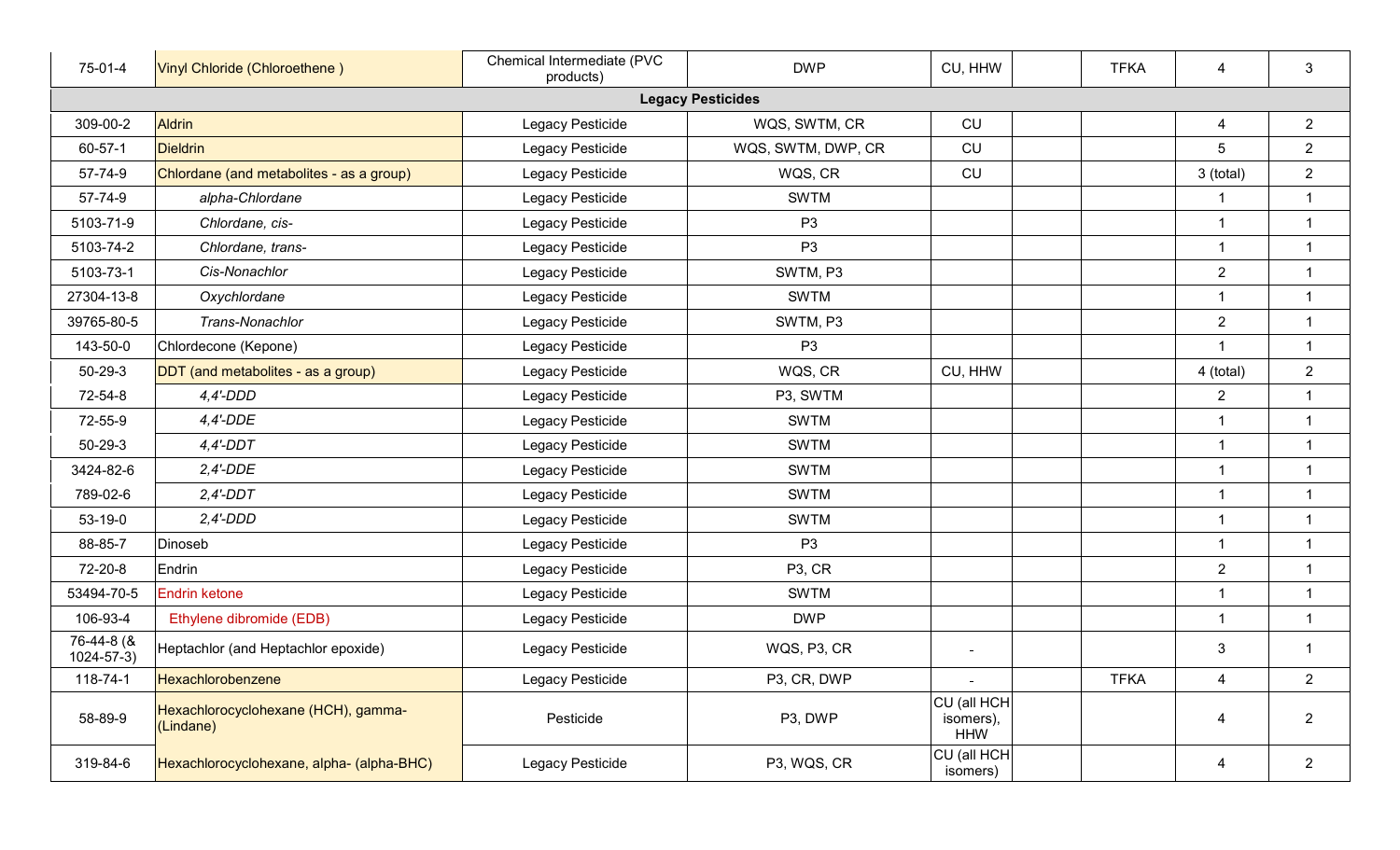| 75-01-4                       | Vinyl Chloride (Chloroethene)                    | Chemical Intermediate (PVC<br>products) | <b>DWP</b>          | CU, HHW                                | <b>TFKA</b> | 4                       | 3              |  |  |  |  |
|-------------------------------|--------------------------------------------------|-----------------------------------------|---------------------|----------------------------------------|-------------|-------------------------|----------------|--|--|--|--|
| <b>Legacy Pesticides</b>      |                                                  |                                         |                     |                                        |             |                         |                |  |  |  |  |
| 309-00-2                      | <b>Aldrin</b>                                    | Legacy Pesticide                        | WQS, SWTM, CR       | CU                                     |             | 4                       | $\overline{2}$ |  |  |  |  |
| 60-57-1                       | <b>Dieldrin</b>                                  | Legacy Pesticide                        | WQS, SWTM, DWP, CR  | CU                                     |             | 5                       | $\overline{2}$ |  |  |  |  |
| 57-74-9                       | Chlordane (and metabolites - as a group)         | Legacy Pesticide                        | WQS, CR             | <b>CU</b>                              |             | 3 (total)               | $\overline{2}$ |  |  |  |  |
| 57-74-9                       | alpha-Chlordane                                  | Legacy Pesticide                        | <b>SWTM</b>         |                                        |             | $\overline{\mathbf{1}}$ | $\mathbf{1}$   |  |  |  |  |
| 5103-71-9                     | Chlordane, cis-                                  | Legacy Pesticide                        | P <sub>3</sub>      |                                        |             | $\overline{\mathbf{1}}$ | $\mathbf{1}$   |  |  |  |  |
| 5103-74-2                     | Chlordane, trans-                                | Legacy Pesticide                        | P <sub>3</sub>      |                                        |             | $\overline{1}$          | $\mathbf{1}$   |  |  |  |  |
| 5103-73-1                     | Cis-Nonachlor                                    | Legacy Pesticide                        | SWTM, P3            |                                        |             | $\overline{2}$          | $\mathbf{1}$   |  |  |  |  |
| 27304-13-8                    | Oxychlordane                                     | Legacy Pesticide                        | <b>SWTM</b>         |                                        |             | $\mathbf{1}$            | $\mathbf{1}$   |  |  |  |  |
| 39765-80-5                    | Trans-Nonachlor                                  | Legacy Pesticide                        | SWTM, P3            |                                        |             | $\overline{2}$          | $\mathbf{1}$   |  |  |  |  |
| 143-50-0                      | Chlordecone (Kepone)                             | Legacy Pesticide                        | P <sub>3</sub>      |                                        |             | $\overline{1}$          | $\mathbf{1}$   |  |  |  |  |
| $50 - 29 - 3$                 | DDT (and metabolites - as a group)               | Legacy Pesticide                        | WQS, CR             | CU, HHW                                |             | 4 (total)               | $\overline{2}$ |  |  |  |  |
| 72-54-8                       | $4,4'$ -DDD                                      | Legacy Pesticide                        | P3, SWTM            |                                        |             | $\overline{2}$          | $\mathbf{1}$   |  |  |  |  |
| 72-55-9                       | $4,4'$ -DDE                                      | Legacy Pesticide                        | <b>SWTM</b>         |                                        |             | $\mathbf{1}$            | $\mathbf{1}$   |  |  |  |  |
| $50 - 29 - 3$                 | $4,4'$ -DDT                                      | Legacy Pesticide                        | <b>SWTM</b>         |                                        |             | $\mathbf{1}$            | $\mathbf{1}$   |  |  |  |  |
| 3424-82-6                     | $2,4'$ -DDE                                      | Legacy Pesticide                        | <b>SWTM</b>         |                                        |             | $\overline{1}$          | $\mathbf{1}$   |  |  |  |  |
| 789-02-6                      | $2,4'$ -DDT                                      | Legacy Pesticide                        | <b>SWTM</b>         |                                        |             | $\overline{\mathbf{1}}$ | $\mathbf{1}$   |  |  |  |  |
| 53-19-0                       | $2,4'$ -DDD                                      | Legacy Pesticide                        | <b>SWTM</b>         |                                        |             | $\overline{1}$          | $\mathbf{1}$   |  |  |  |  |
| 88-85-7                       | Dinoseb                                          | Legacy Pesticide                        | P <sub>3</sub>      |                                        |             | $\overline{1}$          | $\mathbf{1}$   |  |  |  |  |
| 72-20-8                       | Endrin                                           | Legacy Pesticide                        | P <sub>3</sub> , CR |                                        |             | $\overline{2}$          | $\mathbf{1}$   |  |  |  |  |
| 53494-70-5                    | <b>Endrin ketone</b>                             | Legacy Pesticide                        | <b>SWTM</b>         |                                        |             | 1                       | $\mathbf{1}$   |  |  |  |  |
| 106-93-4                      | Ethylene dibromide (EDB)                         | Legacy Pesticide                        | <b>DWP</b>          |                                        |             | $\overline{\mathbf{1}}$ | $\mathbf{1}$   |  |  |  |  |
| 76-44-8 (&<br>$1024 - 57 - 3$ | Heptachlor (and Heptachlor epoxide)              | Legacy Pesticide                        | WQS, P3, CR         | $\blacksquare$                         |             | 3                       | $\mathbf{1}$   |  |  |  |  |
| 118-74-1                      | Hexachlorobenzene                                | Legacy Pesticide                        | P3, CR, DWP         |                                        | <b>TFKA</b> | 4                       | $\overline{2}$ |  |  |  |  |
| 58-89-9                       | Hexachlorocyclohexane (HCH), gamma-<br>(Lindane) | Pesticide                               | P3, DWP             | CU (all HCH<br>isomers),<br><b>HHW</b> |             | 4                       | $\overline{2}$ |  |  |  |  |
| 319-84-6                      | Hexachlorocyclohexane, alpha- (alpha-BHC)        | Legacy Pesticide                        | P3, WQS, CR         | CU (all HCH<br>isomers)                |             | 4                       | $2^{\circ}$    |  |  |  |  |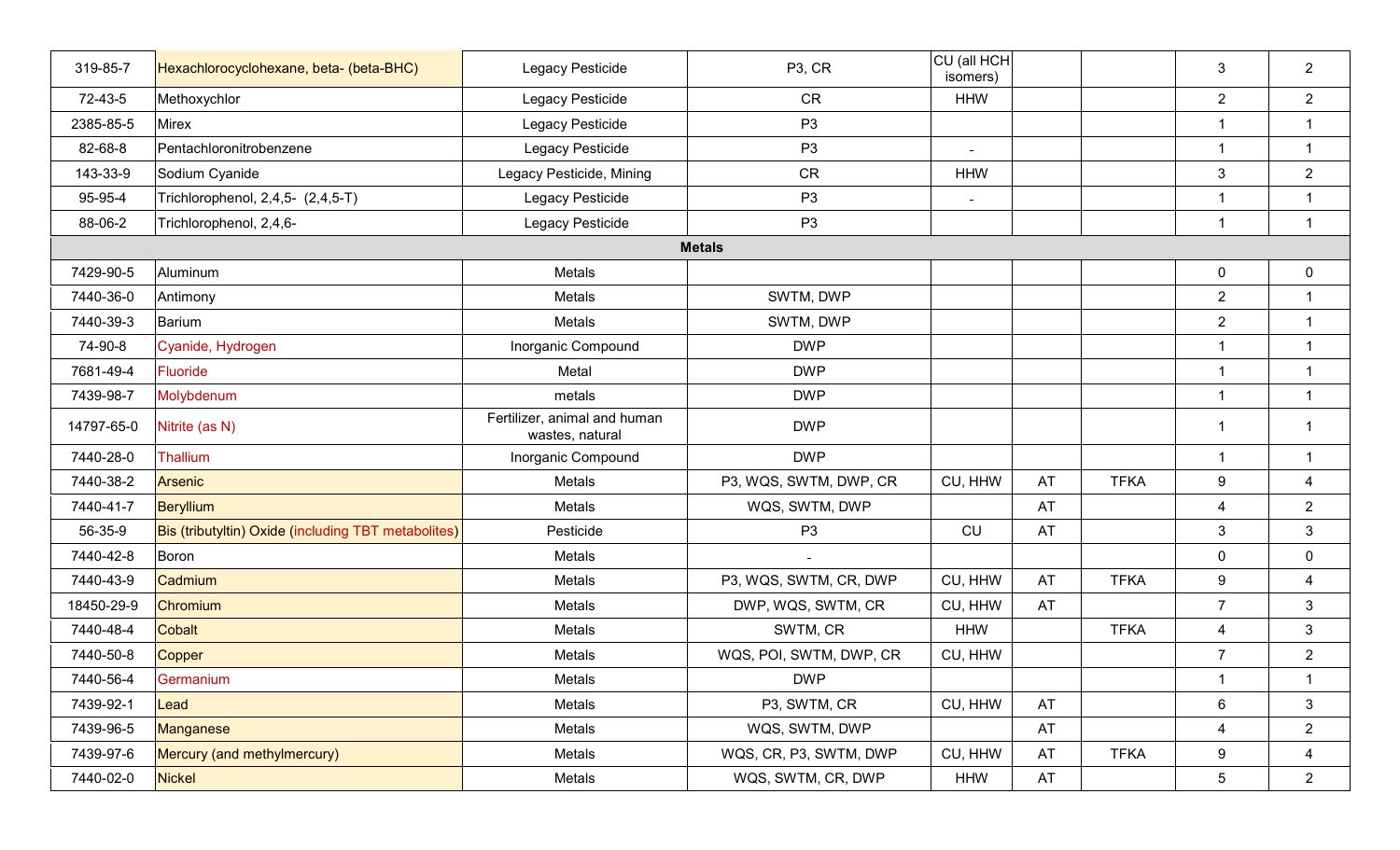| 319-85-7   | Hexachlorocyclohexane, beta- (beta-BHC)             | Legacy Pesticide                                | P <sub>3</sub> , CR     | CU (all HCH<br>isomers) |    |             | 3                | $\overline{2}$ |
|------------|-----------------------------------------------------|-------------------------------------------------|-------------------------|-------------------------|----|-------------|------------------|----------------|
| 72-43-5    | Methoxychlor                                        | Legacy Pesticide                                | CR                      | <b>HHW</b>              |    |             | $\overline{2}$   | $\overline{2}$ |
| 2385-85-5  | <b>Mirex</b>                                        | Legacy Pesticide                                | P <sub>3</sub>          |                         |    |             | $\mathbf{1}$     | $\mathbf{1}$   |
| 82-68-8    | Pentachloronitrobenzene                             | Legacy Pesticide                                | P <sub>3</sub>          | $\blacksquare$          |    |             | $\mathbf{1}$     | $\mathbf{1}$   |
| 143-33-9   | Sodium Cyanide                                      | Legacy Pesticide, Mining                        | <b>CR</b>               | <b>HHW</b>              |    |             | $\mathfrak{Z}$   | $\overline{2}$ |
| 95-95-4    | Trichlorophenol, 2,4,5- (2,4,5-T)                   | Legacy Pesticide                                | P <sub>3</sub>          | $\sim$                  |    |             | $\mathbf{1}$     | $\mathbf{1}$   |
| 88-06-2    | Trichlorophenol, 2,4,6-                             | Legacy Pesticide                                | P <sub>3</sub>          |                         |    |             | $\mathbf{1}$     | $\mathbf{1}$   |
|            |                                                     |                                                 | <b>Metals</b>           |                         |    |             |                  |                |
| 7429-90-5  | Aluminum                                            | Metals                                          |                         |                         |    |             | $\mathbf 0$      | $\mathbf 0$    |
| 7440-36-0  | Antimony                                            | Metals                                          | SWTM, DWP               |                         |    |             | $\overline{2}$   | $\mathbf{1}$   |
| 7440-39-3  | Barium                                              | Metals                                          | SWTM, DWP               |                         |    |             | $\overline{2}$   | $\mathbf{1}$   |
| 74-90-8    | Cyanide, Hydrogen                                   | Inorganic Compound                              | <b>DWP</b>              |                         |    |             | $\mathbf{1}$     | $\mathbf{1}$   |
| 7681-49-4  | <b>Fluoride</b>                                     | Metal                                           | <b>DWP</b>              |                         |    |             | $\overline{1}$   | $\mathbf{1}$   |
| 7439-98-7  | Molybdenum                                          | metals                                          | <b>DWP</b>              |                         |    |             | $\mathbf{1}$     | $\mathbf{1}$   |
| 14797-65-0 | Nitrite (as N)                                      | Fertilizer, animal and human<br>wastes, natural | <b>DWP</b>              |                         |    |             | $\mathbf{1}$     | $\overline{1}$ |
| 7440-28-0  | Thallium                                            | Inorganic Compound                              | <b>DWP</b>              |                         |    |             | $\mathbf{1}$     | $\mathbf{1}$   |
| 7440-38-2  | <b>Arsenic</b>                                      | Metals                                          | P3, WQS, SWTM, DWP, CR  | CU, HHW                 | AT | <b>TFKA</b> | $\boldsymbol{9}$ | $\overline{4}$ |
| 7440-41-7  | Beryllium                                           | Metals                                          | WQS, SWTM, DWP          |                         | AT |             | 4                | $\overline{2}$ |
| 56-35-9    | Bis (tributyltin) Oxide (including TBT metabolites) | Pesticide                                       | P <sub>3</sub>          | <b>CU</b>               | AT |             | $\mathfrak{Z}$   | $\mathbf{3}$   |
| 7440-42-8  | Boron                                               | Metals                                          |                         |                         |    |             | $\mathbf 0$      | $\mathbf 0$    |
| 7440-43-9  | Cadmium                                             | Metals                                          | P3, WQS, SWTM, CR, DWP  | CU, HHW                 | AT | <b>TFKA</b> | 9                | 4              |
| 18450-29-9 | Chromium                                            | Metals                                          | DWP, WQS, SWTM, CR      | CU, HHW                 | AT |             | $\overline{7}$   | $\mathbf{3}$   |
| 7440-48-4  | Cobalt                                              | Metals                                          | SWTM, CR                | <b>HHW</b>              |    | <b>TFKA</b> | $\overline{4}$   | $\mathbf{3}$   |
| 7440-50-8  | Copper                                              | Metals                                          | WQS, POI, SWTM, DWP, CR | CU, HHW                 |    |             | $\overline{7}$   | $\overline{2}$ |
| 7440-56-4  | Germanium                                           | Metals                                          | <b>DWP</b>              |                         |    |             | $\mathbf{1}$     | $\mathbf{1}$   |
| 7439-92-1  | Lead                                                | Metals                                          | P3, SWTM, CR            | CU, HHW                 | AT |             | $6\phantom{.}6$  | $\mathbf{3}$   |
| 7439-96-5  | Manganese                                           | Metals                                          | WQS, SWTM, DWP          |                         | AT |             | 4                | $\overline{2}$ |
| 7439-97-6  | Mercury (and methylmercury)                         | Metals                                          | WQS, CR, P3, SWTM, DWP  | CU, HHW                 | AT | <b>TFKA</b> | 9                | 4              |
| 7440-02-0  | <b>Nickel</b>                                       | Metals                                          | WQS, SWTM, CR, DWP      | <b>HHW</b>              | AT |             | $5\phantom{.0}$  | $\overline{2}$ |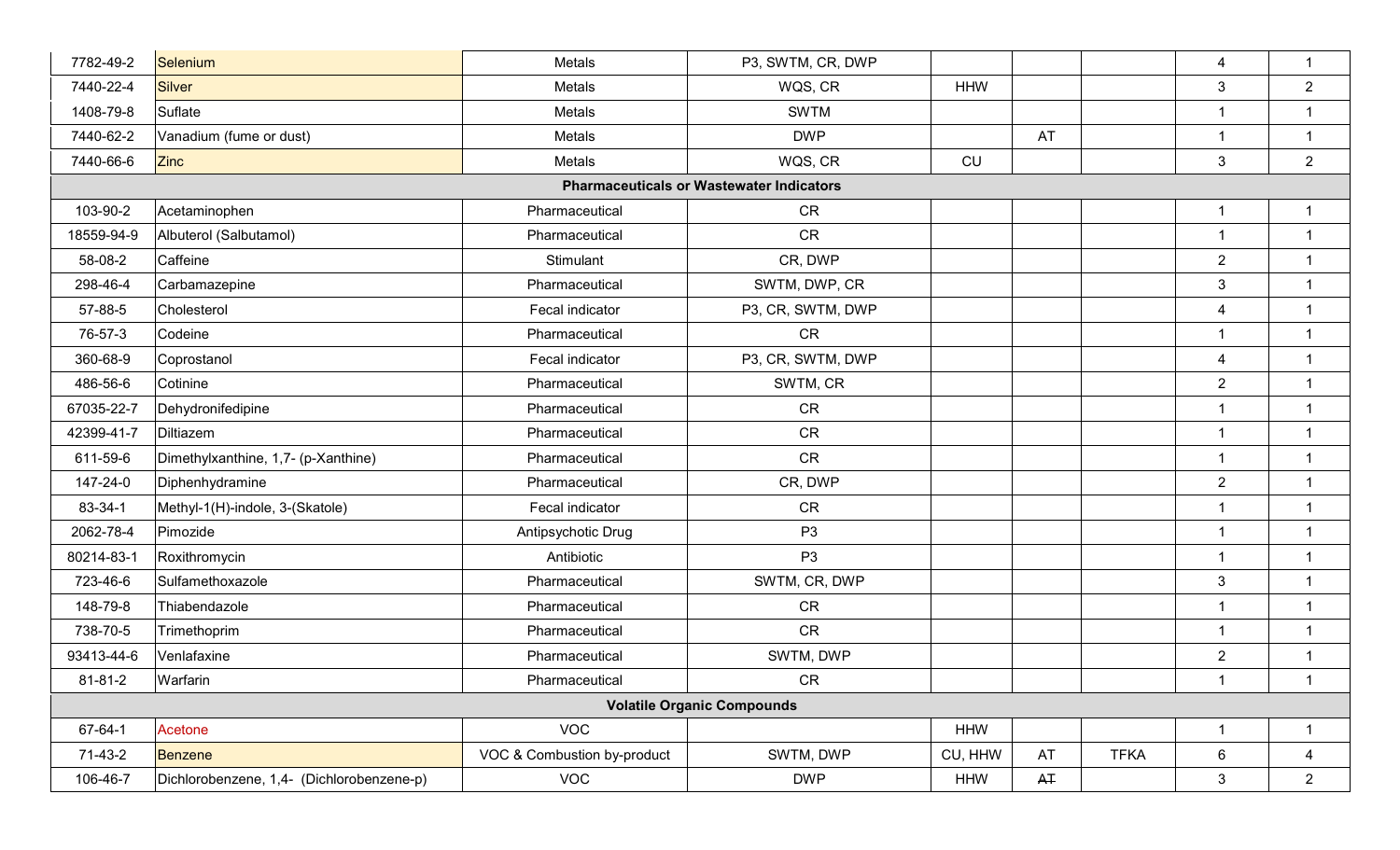| 7782-49-2                         | Selenium                                  | Metals                      | P3, SWTM, CR, DWP                               |            |       |             | 4                       | $\mathbf{1}$            |
|-----------------------------------|-------------------------------------------|-----------------------------|-------------------------------------------------|------------|-------|-------------|-------------------------|-------------------------|
| 7440-22-4                         | <b>Silver</b>                             | Metals                      | WQS, CR                                         | <b>HHW</b> |       |             | $\mathbf{3}$            | $\overline{2}$          |
| 1408-79-8                         | Suflate                                   | Metals                      | <b>SWTM</b>                                     |            |       |             | $\overline{1}$          | $\overline{1}$          |
| 7440-62-2                         | Vanadium (fume or dust)                   | Metals                      | <b>DWP</b>                                      |            | AT    |             | $\overline{1}$          | $\overline{1}$          |
| 7440-66-6                         | <b>Zinc</b>                               | Metals                      | WQS, CR                                         | CU         |       |             | $\mathbf{3}$            | $\overline{2}$          |
|                                   |                                           |                             | <b>Pharmaceuticals or Wastewater Indicators</b> |            |       |             |                         |                         |
| 103-90-2                          | Acetaminophen                             | Pharmaceutical              | <b>CR</b>                                       |            |       |             | $\overline{\mathbf{1}}$ | $\overline{1}$          |
| 18559-94-9                        | Albuterol (Salbutamol)                    | Pharmaceutical              | CR                                              |            |       |             | -1                      | $\overline{1}$          |
| 58-08-2                           | Caffeine                                  | Stimulant                   | CR, DWP                                         |            |       |             | $\overline{2}$          | $\overline{\mathbf{1}}$ |
| 298-46-4                          | Carbamazepine                             | Pharmaceutical              | SWTM, DWP, CR                                   |            |       |             | $\mathbf{3}$            | $\overline{1}$          |
| 57-88-5                           | Cholesterol                               | Fecal indicator             | P3, CR, SWTM, DWP                               |            |       |             | $\overline{\mathbf{4}}$ | $\overline{1}$          |
| 76-57-3                           | Codeine                                   | Pharmaceutical              | <b>CR</b>                                       |            |       |             | $\overline{1}$          | $\overline{1}$          |
| 360-68-9                          | Coprostanol                               | Fecal indicator             | P3, CR, SWTM, DWP                               |            |       |             | 4                       | $\overline{\mathbf{1}}$ |
| 486-56-6                          | Cotinine                                  | Pharmaceutical              | SWTM, CR                                        |            |       |             | $\overline{2}$          | $\overline{1}$          |
| 67035-22-7                        | Dehydronifedipine                         | Pharmaceutical              | CR                                              |            |       |             | 1                       | $\overline{1}$          |
| 42399-41-7                        | Diltiazem                                 | Pharmaceutical              | <b>CR</b>                                       |            |       |             | $\overline{1}$          | $\overline{\mathbf{1}}$ |
| 611-59-6                          | Dimethylxanthine, 1,7- (p-Xanthine)       | Pharmaceutical              | <b>CR</b>                                       |            |       |             | 1                       | -1                      |
| 147-24-0                          | Diphenhydramine                           | Pharmaceutical              | CR, DWP                                         |            |       |             | $\overline{2}$          | $\overline{1}$          |
| 83-34-1                           | Methyl-1(H)-indole, 3-(Skatole)           | Fecal indicator             | <b>CR</b>                                       |            |       |             | $\overline{1}$          | $\overline{1}$          |
| 2062-78-4                         | Pimozide                                  | Antipsychotic Drug          | P <sub>3</sub>                                  |            |       |             | $\overline{1}$          | $\overline{1}$          |
| 80214-83-1                        | Roxithromycin                             | Antibiotic                  | P <sub>3</sub>                                  |            |       |             | $\overline{1}$          | $\overline{1}$          |
| 723-46-6                          | Sulfamethoxazole                          | Pharmaceutical              | SWTM, CR, DWP                                   |            |       |             | $\mathbf{3}$            | $\overline{1}$          |
| 148-79-8                          | Thiabendazole                             | Pharmaceutical              | CR                                              |            |       |             | $\overline{1}$          | $\overline{1}$          |
| 738-70-5                          | Trimethoprim                              | Pharmaceutical              | CR                                              |            |       |             | $\overline{1}$          | $\overline{1}$          |
| 93413-44-6                        | Venlafaxine                               | Pharmaceutical              | SWTM, DWP                                       |            |       |             | $\overline{2}$          | $\overline{1}$          |
| 81-81-2                           | Warfarin                                  | Pharmaceutical              | <b>CR</b>                                       |            |       |             | $\overline{1}$          | $\overline{1}$          |
| <b>Volatile Organic Compounds</b> |                                           |                             |                                                 |            |       |             |                         |                         |
| 67-64-1                           | Acetone                                   | <b>VOC</b>                  |                                                 | <b>HHW</b> |       |             | $\overline{1}$          | $\mathbf{1}$            |
| $71-43-2$                         | <b>Benzene</b>                            | VOC & Combustion by-product | SWTM, DWP                                       | CU, HHW    | AT    | <b>TFKA</b> | 6                       | 4                       |
| 106-46-7                          | Dichlorobenzene, 1,4- (Dichlorobenzene-p) | <b>VOC</b>                  | <b>DWP</b>                                      | <b>HHW</b> | $A +$ |             | $\mathbf{3}$            | $\overline{2}$          |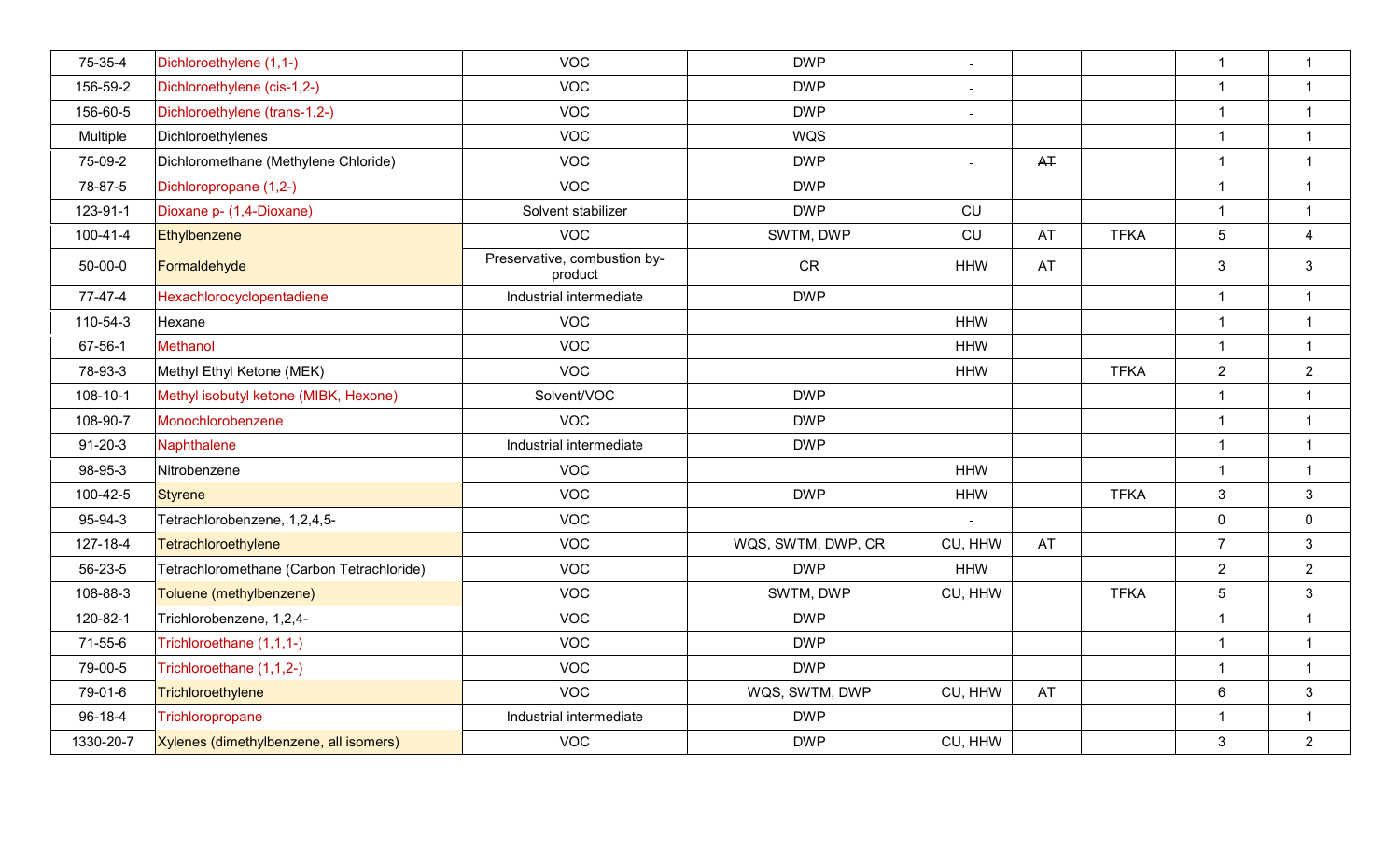| 75-35-4        | Dichloroethylene (1,1-)                   | <b>VOC</b>                              | <b>DWP</b>         | $\bar{\phantom{a}}$      |                |             | $\overline{1}$ | $\mathbf 1$    |
|----------------|-------------------------------------------|-----------------------------------------|--------------------|--------------------------|----------------|-------------|----------------|----------------|
| 156-59-2       | Dichloroethylene (cis-1,2-)               | <b>VOC</b>                              | <b>DWP</b>         | $\sim$                   |                |             | $\overline{1}$ | $\mathbf{1}$   |
| 156-60-5       | Dichloroethylene (trans-1,2-)             | <b>VOC</b>                              | <b>DWP</b>         | $\blacksquare$           |                |             | $\mathbf{1}$   | $\mathbf{1}$   |
| Multiple       | Dichloroethylenes                         | <b>VOC</b>                              | <b>WQS</b>         |                          |                |             | $\mathbf{1}$   | $\mathbf{1}$   |
| 75-09-2        | Dichloromethane (Methylene Chloride)      | <b>VOC</b>                              | <b>DWP</b>         | $\equiv$                 | A <sub>T</sub> |             | $\mathbf{1}$   | $\mathbf{1}$   |
| 78-87-5        | Dichloropropane (1,2-)                    | <b>VOC</b>                              | <b>DWP</b>         | $\equiv$                 |                |             | $\mathbf{1}$   | $\mathbf{1}$   |
| 123-91-1       | Dioxane p- (1,4-Dioxane)                  | Solvent stabilizer                      | <b>DWP</b>         | CU                       |                |             | $\mathbf{1}$   | $\mathbf{1}$   |
| $100 - 41 - 4$ | Ethylbenzene                              | <b>VOC</b>                              | SWTM, DWP          | <b>CU</b>                | <b>AT</b>      | <b>TFKA</b> | 5              | $\overline{4}$ |
| $50 - 00 - 0$  | Formaldehyde                              | Preservative, combustion by-<br>product | CR                 | <b>HHW</b>               | AT             |             | 3              | 3              |
| 77-47-4        | Hexachlorocyclopentadiene                 | Industrial intermediate                 | <b>DWP</b>         |                          |                |             | $\mathbf{1}$   | $\mathbf{1}$   |
| 110-54-3       | Hexane                                    | <b>VOC</b>                              |                    | <b>HHW</b>               |                |             | $\mathbf{1}$   | $\mathbf{1}$   |
| 67-56-1        | <b>Methanol</b>                           | <b>VOC</b>                              |                    | <b>HHW</b>               |                |             | $\mathbf{1}$   | $\mathbf{1}$   |
| 78-93-3        | Methyl Ethyl Ketone (MEK)                 | <b>VOC</b>                              |                    | <b>HHW</b>               |                | <b>TFKA</b> | $\overline{2}$ | 2              |
| 108-10-1       | Methyl isobutyl ketone (MIBK, Hexone)     | Solvent/VOC                             | <b>DWP</b>         |                          |                |             | $\mathbf{1}$   | $\mathbf{1}$   |
| 108-90-7       | Monochlorobenzene                         | <b>VOC</b>                              | <b>DWP</b>         |                          |                |             | $\overline{1}$ | $\mathbf{1}$   |
| $91 - 20 - 3$  | Naphthalene                               | Industrial intermediate                 | <b>DWP</b>         |                          |                |             | $\overline{1}$ | $\mathbf{1}$   |
| 98-95-3        | Nitrobenzene                              | <b>VOC</b>                              |                    | <b>HHW</b>               |                |             | $\mathbf{1}$   | $\mathbf{1}$   |
| 100-42-5       | <b>Styrene</b>                            | <b>VOC</b>                              | <b>DWP</b>         | <b>HHW</b>               |                | <b>TFKA</b> | $\mathbf{3}$   | $\mathbf{3}$   |
| 95-94-3        | Tetrachlorobenzene, 1,2,4,5-              | <b>VOC</b>                              |                    |                          |                |             | $\mathbf 0$    | $\mathbf 0$    |
| 127-18-4       | Tetrachloroethylene                       | <b>VOC</b>                              | WQS, SWTM, DWP, CR | CU, HHW                  | AT             |             | $\overline{7}$ | $\mathbf{3}$   |
| 56-23-5        | Tetrachloromethane (Carbon Tetrachloride) | <b>VOC</b>                              | <b>DWP</b>         | <b>HHW</b>               |                |             | $\overline{2}$ | $\overline{2}$ |
| 108-88-3       | Toluene (methylbenzene)                   | <b>VOC</b>                              | SWTM, DWP          | CU, HHW                  |                | <b>TFKA</b> | 5              | $\mathbf{3}$   |
| 120-82-1       | Trichlorobenzene, 1,2,4-                  | <b>VOC</b>                              | <b>DWP</b>         | $\overline{\phantom{a}}$ |                |             | $\mathbf{1}$   | $\mathbf{1}$   |
| 71-55-6        | Trichloroethane (1,1,1-)                  | <b>VOC</b>                              | <b>DWP</b>         |                          |                |             | $\overline{1}$ | $\mathbf{1}$   |
| 79-00-5        | Trichloroethane (1,1,2-)                  | <b>VOC</b>                              | <b>DWP</b>         |                          |                |             | $\mathbf{1}$   | $\mathbf{1}$   |
| 79-01-6        | Trichloroethylene                         | <b>VOC</b>                              | WQS, SWTM, DWP     | CU, HHW                  | AT             |             | $6\phantom{1}$ | $\mathbf{3}$   |
| 96-18-4        | Trichloropropane                          | Industrial intermediate                 | <b>DWP</b>         |                          |                |             | $\mathbf{1}$   | $\mathbf{1}$   |
| 1330-20-7      | Xylenes (dimethylbenzene, all isomers)    | <b>VOC</b>                              | <b>DWP</b>         | CU, HHW                  |                |             | $\mathfrak{S}$ | $\overline{2}$ |